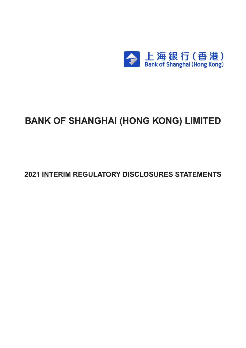

# **BANK OF SHANGHAI (HONG KONG) LIMITED**

**2021 INTERIM REGULATORY DISCLOSURES STATEMENTS**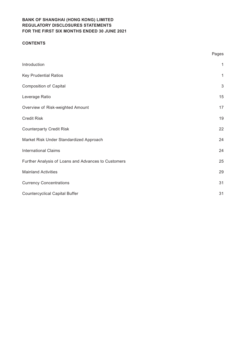### **CONTENTS**

|                                                     | Pages        |
|-----------------------------------------------------|--------------|
| Introduction                                        | $\mathbf{1}$ |
| <b>Key Prudential Ratios</b>                        | $\mathbf{1}$ |
| <b>Composition of Capital</b>                       | $\sqrt{3}$   |
| Leverage Ratio                                      | 15           |
| Overview of Risk-weighted Amount                    | 17           |
| <b>Credit Risk</b>                                  | 19           |
| <b>Counterparty Credit Risk</b>                     | 22           |
| Market Risk Under Standardized Approach             | 24           |
| <b>International Claims</b>                         | 24           |
| Further Analysis of Loans and Advances to Customers | 25           |
| <b>Mainland Activities</b>                          | 29           |
| <b>Currency Concentrations</b>                      | 31           |
| <b>Countercyclical Capital Buffer</b>               | 31           |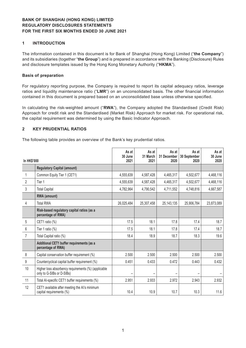### **1 INTRODUCTION**

The information contained in this document is for Bank of Shanghai (Hong Kong) Limited ("**the Company**") and its subsidiaries (together "**the Group**") and is prepared in accordance with the Banking (Disclosure) Rules and disclosure templates issued by the Hong Kong Monetary Authority ("**HKMA**").

#### **Basis of preparation**

For regulatory reporting purpose, the Company is required to report its capital adequacy ratios, leverage ratios and liquidity maintenance ratio ("**LMR**") on an unconsolidated basis. The other financial information contained in this document is prepared based on an unconsolidated base unless otherwise specified.

In calculating the risk-weighted amount ("**RWA**"), the Company adopted the Standardised (Credit Risk) Approach for credit risk and the Standardised (Market Risk) Approach for market risk. For operational risk, the capital requirement was determined by using the Basic Indicator Approach.

#### **2 KEY PRUDENTIAL RATIOS**

The following table provides an overview of the Bank's key prudential ratios.

| <b>In HK\$'000</b> |                                                                                  | As at<br>30 June<br>2021 | As at<br>31 March<br>2021 | As at<br>31 December<br>2020 | As at<br>30 September<br>2020 | As at<br>30 June<br>2020 |
|--------------------|----------------------------------------------------------------------------------|--------------------------|---------------------------|------------------------------|-------------------------------|--------------------------|
|                    | <b>Regulatory Capital (amount)</b>                                               |                          |                           |                              |                               |                          |
| 1                  | Common Equity Tier 1 (CET1)                                                      | 4,555,639                | 4,587,428                 | 4,465,317                    | 4,502,677                     | 4,468,116                |
| $\overline{2}$     | Tier 1                                                                           | 4,555,639                | 4,587,428                 | 4,465,317                    | 4,502,677                     | 4,468,116                |
| 3                  | <b>Total Capital</b>                                                             | 4,782,964                | 4,790,542                 | 4,711,552                    | 4,748,816                     | 4,667,587                |
|                    | RWA (amount)                                                                     |                          |                           |                              |                               |                          |
| 4                  | <b>Total RWA</b>                                                                 | 26,025,484               | 25,307,458                | 25, 143, 135                 | 25,906,784                    | 23,873,089               |
|                    | Risk-based regulatory capital ratios (as a<br>percentage of RWA)                 |                          |                           |                              |                               |                          |
| 5                  | CET1 ratio (%)                                                                   | 17.5                     | 18.1                      | 17.8                         | 17.4                          | 18.7                     |
| 6                  | Tier 1 ratio $(\%)$                                                              | 17.5                     | 18.1                      | 17.8                         | 17.4                          | 18.7                     |
| $\overline{7}$     | Total Capital ratio (%)                                                          | 18.4                     | 18.9                      | 18.7                         | 18.3                          | 19.6                     |
|                    | Additional CET1 buffer requirements (as a<br>percentage of RWA)                  |                          |                           |                              |                               |                          |
| 8                  | Capital conservation buffer requirement (%)                                      | 2.500                    | 2.500                     | 2.500                        | 2.500                         | 2.500                    |
| 9                  | Countercyclical capital buffer requirement (%)                                   | 0.451                    | 0.433                     | 0.472                        | 0.443                         | 0.432                    |
| 10                 | Higher loss absorbency requirements (%) (applicable<br>only to G-SIBs or D-SIBs) |                          |                           |                              |                               |                          |
| 11                 | Total Al-specific CET1 buffer requirements (%)                                   | 2.951                    | 2.933                     | 2.972                        | 2.943                         | 2.932                    |
| 12                 | CET1 available after meeting the AI's minimum<br>capital requirements (%)        | 10.4                     | 10.9                      | 10.7                         | 10.3                          | 11.6                     |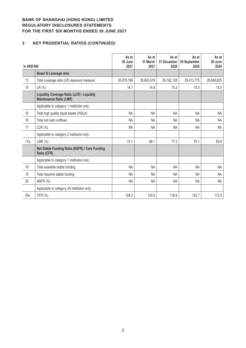# **2 KEY PRUDENTIAL RATIOS (CONTINUED)**

| In HK\$'000 |                                                                              | As at<br>30 June<br>2021 | As at<br>31 March<br>2021 | As at<br>31 December<br>2020 | As at<br>30 September<br>2020 | As at<br>30 June<br>2020 |
|-------------|------------------------------------------------------------------------------|--------------------------|---------------------------|------------------------------|-------------------------------|--------------------------|
|             | <b>Basel III Leverage ratio</b>                                              |                          |                           |                              |                               |                          |
| 13          | Total Leverage ratio (LR) exposure measure                                   | 30,979,169               | 30,842,619                | 29, 162, 128                 | 29,413,775                    | 28,849,625               |
| 14          | $LR$ (%)                                                                     | 14.7                     | 14.9                      | 15.3                         | 15.3                          | 15.5                     |
|             | Liquidity Coverage Ratio (LCR) / Liquidity<br><b>Maintenance Ratio (LMR)</b> |                          |                           |                              |                               |                          |
|             | Applicable to category 1 institution only:                                   |                          |                           |                              |                               |                          |
| 15          | Total high quality liquid assets (HQLA)                                      | NA                       | <b>NA</b>                 | <b>NA</b>                    | <b>NA</b>                     | <b>NA</b>                |
| 16          | Total net cash outflows                                                      | <b>NA</b>                | <b>NA</b>                 | <b>NA</b>                    | <b>NA</b>                     | NA                       |
| 17          | $LCR(\% )$                                                                   | <b>NA</b>                | <b>NA</b>                 | <b>NA</b>                    | <b>NA</b>                     | <b>NA</b>                |
|             | Applicable to category 2 institution only:                                   |                          |                           |                              |                               |                          |
| 17a         | LMR $(\%)$                                                                   | 74.1                     | 66.1                      | 77.2                         | 70.1                          | 65.8                     |
|             | Net Stable Funding Ratio (NSFR) / Core Funding<br>Ratio (CFR)                |                          |                           |                              |                               |                          |
|             | Applicable to category 1 institution only:                                   |                          |                           |                              |                               |                          |
| 18          | Total available stable funding                                               | <b>NA</b>                | <b>NA</b>                 | <b>NA</b>                    | <b>NA</b>                     | <b>NA</b>                |
| 19          | Total required stable funding                                                | <b>NA</b>                | <b>NA</b>                 | <b>NA</b>                    | <b>NA</b>                     | <b>NA</b>                |
| 20          | NSFR (%)                                                                     | <b>NA</b>                | <b>NA</b>                 | NA                           | NA                            | <b>NA</b>                |
|             | Applicable to category 2A institution only:                                  |                          |                           |                              |                               |                          |
| 20a         | CFR (%)                                                                      | 128.2                    | 120.6                     | 116.6                        | 125.7                         | 112.5                    |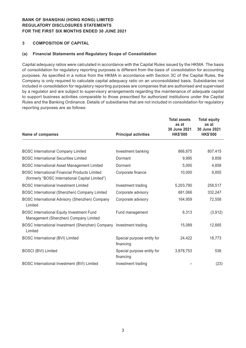### **3 COMPOSITION OF CAPITAL**

### **(a) Financial Statements and Regulatory Scope of Consolidation**

Capital adequacy ratios were calculated in accordance with the Capital Rules issued by the HKMA. The basis of consolidation for regulatory reporting purposes is different from the basis of consolidation for accounting purposes. As specified in a notice from the HKMA in accordance with Section 3C of the Capital Rules, the Company is only required to calculate capital adequacy ratio on an unconsolidated basis. Subsidiaries not included in consolidation for regulatory reporting purposes are companies that are authorised and supervised by a regulator and are subject to supervisory arrangements regarding the maintenance of adequate capital to support business activities comparable to those prescribed for authorized institutions under the Capital Rules and the Banking Ordinance. Details of subsidiaries that are not included in consolidation for regulatory reporting purposes are as follows:

| <b>Name of companies</b>                                                                                | <b>Principal activities</b>             | <b>Total assets</b><br>as at<br>30 June 2021<br><b>HK\$'000</b> | <b>Total equity</b><br>as at<br>30 June 2021<br><b>HK\$'000</b> |
|---------------------------------------------------------------------------------------------------------|-----------------------------------------|-----------------------------------------------------------------|-----------------------------------------------------------------|
|                                                                                                         |                                         |                                                                 |                                                                 |
| <b>BOSC International Company Limited</b>                                                               | Investment banking                      | 866,875                                                         | 807,415                                                         |
| <b>BOSC International Securities Limited</b>                                                            | Dormant                                 | 9,995                                                           | 9,858                                                           |
| <b>BOSC International Asset Management Limited</b>                                                      | Dormant                                 | 5,000                                                           | 4,858                                                           |
| <b>BOSC International Financial Products Limited</b><br>(formerly "BOSC International Capital Limited") | Corporate finance                       | 10,000                                                          | 9,855                                                           |
| <b>BOSC</b> International Investment Limited                                                            | Investment trading                      | 5,203,790                                                       | 258,517                                                         |
| BOSC International (Shenzhen) Company Limited                                                           | Corporate advisory                      | 681,066                                                         | 332,247                                                         |
| BOSC International Advisory (Shenzhen) Company<br>Limited                                               | Corporate advisory                      | 164,959                                                         | 72,558                                                          |
| <b>BOSC International Equity Investment Fund</b><br>Management (Shenzhen) Company Limited               | Fund management                         | 6,313                                                           | (3,912)                                                         |
| BOSC International Investment (Shenzhen) Company Investment trading<br>Limited                          |                                         | 15,089                                                          | 12,665                                                          |
| <b>BOSC International (BVI) Limited</b>                                                                 | Special purpose entity for<br>financing | 24,422                                                          | 18,773                                                          |
| <b>BOSCI (BVI) Limited</b>                                                                              | Special purpose entity for<br>financing | 3,878,753                                                       | 536                                                             |
| BOSC International Investment (BVI) Limited                                                             | Investment trading                      |                                                                 | (23)                                                            |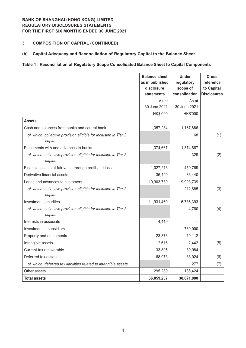### **3 COMPOSITION OF CAPITAL (CONTINUED)**

### **(b) Capital Adequacy and Reconciliation of Regulatory Capital to the Balance Sheet**

#### **Table 1 : Reconciliation of Regulatory Scope Consolidated Balance Sheet to Capital Components**

|                                                                            | <b>Balance sheet</b><br>as in published<br>disclosure<br>statements | <b>Under</b><br>regulatory<br>scope of<br>consolidation | <b>Cross</b><br>reference<br>to Capital<br><b>Disclosures</b> |
|----------------------------------------------------------------------------|---------------------------------------------------------------------|---------------------------------------------------------|---------------------------------------------------------------|
|                                                                            | As at<br>30 June 2021                                               | As at<br>30 June 2021                                   |                                                               |
|                                                                            | HK\$'000                                                            | HK\$'000                                                |                                                               |
| <b>Assets</b>                                                              |                                                                     |                                                         |                                                               |
| Cash and balances from banks and central bank                              | 1,357,284                                                           | 1,167,886                                               |                                                               |
| of which: collective provision eligible for inclusion in Tier 2<br>capital |                                                                     | 68                                                      | (1)                                                           |
| Placements with and advances to banks                                      | 1,374,667                                                           | 1,374,667                                               |                                                               |
| of which: collective provision eligible for inclusion in Tier 2<br>capital |                                                                     | 329                                                     | (2)                                                           |
| Financial assets at fair value through profit and loss                     | 1,027,213                                                           | 459,769                                                 |                                                               |
| Derivative financial assets                                                | 36,440                                                              | 36,440                                                  |                                                               |
| Loans and advances to customers                                            | 19,903,739                                                          | 19,903,739                                              |                                                               |
| of which: collective provision eligible for inclusion in Tier 2<br>capital |                                                                     | 212,685                                                 | (3)                                                           |
| Investment securities                                                      | 11,931,469                                                          | 6,736,393                                               |                                                               |
| of which: collective provision eligible for inclusion in Tier 2<br>capital |                                                                     | 4,760                                                   | (4)                                                           |
| Interests in associate                                                     | 4,419                                                               |                                                         |                                                               |
| Investment in subsidiary                                                   |                                                                     | 780,000                                                 |                                                               |
| Property and equipments                                                    | 23,373                                                              | 10,112                                                  |                                                               |
| Intangible assets                                                          | 2,616                                                               | 2,442                                                   | (5)                                                           |
| Current tax recoverable                                                    | 33,805                                                              | 30,984                                                  |                                                               |
| Deferred tax assets                                                        | 68,973                                                              | 33,024                                                  | (6)                                                           |
| of which: deferred tax liabilities related to intangible assets            |                                                                     | 277                                                     | (7)                                                           |
| Other assets                                                               | 295,289                                                             | 136,424                                                 |                                                               |
| <b>Total assets</b>                                                        | 36,059,287                                                          | 30,671,880                                              |                                                               |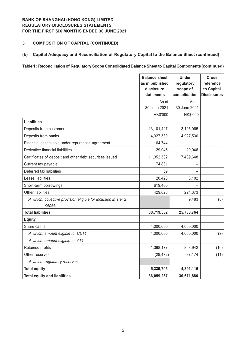### **3 COMPOSITION OF CAPITAL (CONTINUED)**

### **(b) Capital Adequacy and Reconciliation of Regulatory Capital to the Balance Sheet (continued)**

#### **Table 1 : Reconciliation of Regulatory Scope Consolidated Balance Sheet to Capital Components (continued)**

|                                                                            | <b>Balance sheet</b><br>as in published<br>disclosure<br>statements | <b>Under</b><br>regulatory<br>scope of<br>consolidation | <b>Cross</b><br>reference<br>to Capital<br><b>Disclosures</b> |
|----------------------------------------------------------------------------|---------------------------------------------------------------------|---------------------------------------------------------|---------------------------------------------------------------|
|                                                                            | As at<br>30 June 2021                                               | As at<br>30 June 2021                                   |                                                               |
|                                                                            | HK\$'000                                                            | HK\$'000                                                |                                                               |
| <b>Liabilities</b>                                                         |                                                                     |                                                         |                                                               |
| Deposits from customers                                                    | 13,101,427                                                          | 13,105,065                                              |                                                               |
| Deposits from banks                                                        | 4,927,530                                                           | 4,927,530                                               |                                                               |
| Financial assets sold under repurchase agreement                           | 164,744                                                             |                                                         |                                                               |
| Derivative financial liabilities                                           | 29,046                                                              | 29,046                                                  |                                                               |
| Certificates of deposit and other debt securities issued                   | 11,352,502                                                          | 7,489,648                                               |                                                               |
| Current tax payable                                                        | 74,831                                                              |                                                         |                                                               |
| Deferred tax liabilities                                                   | 59                                                                  |                                                         |                                                               |
| Lease liabilities                                                          | 20,420                                                              | 8,102                                                   |                                                               |
| Short-term borrowings                                                      | 619,400                                                             |                                                         |                                                               |
| <b>Other liabilities</b>                                                   | 429,623                                                             | 221,373                                                 |                                                               |
| of which: collective provision eligible for inclusion in Tier 2<br>capital |                                                                     | 9,483                                                   | (8)                                                           |
| <b>Total liabilities</b>                                                   | 30,719,582                                                          | 25,780,764                                              |                                                               |
| <b>Equity</b>                                                              |                                                                     |                                                         |                                                               |
| Share capital                                                              | 4,000,000                                                           | 4,000,000                                               |                                                               |
| of which: amount eligible for CET1                                         | 4,000,000                                                           | 4,000,000                                               | (9)                                                           |
| of which: amount eligible for AT1                                          |                                                                     |                                                         |                                                               |
| Retained profits                                                           | 1,368,177                                                           | 853,942                                                 | (10)                                                          |
| Other reserves                                                             | (28, 472)                                                           | 37,174                                                  | (11)                                                          |
| of which: regulatory reserves                                              |                                                                     |                                                         |                                                               |
| <b>Total equity</b>                                                        | 5,339,705                                                           | 4,891,116                                               |                                                               |
| <b>Total equity and liabilities</b>                                        | 36,059,287                                                          | 30,671,880                                              |                                                               |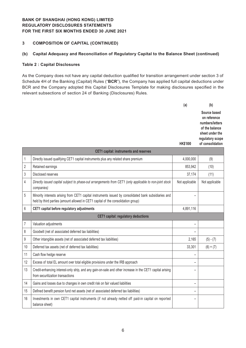### **3 COMPOSITION OF CAPITAL (CONTINUED)**

### **(b) Capital Adequacy and Reconciliation of Regulatory Capital to the Balance Sheet (continued)**

#### **Table 2 : Capital Disclosures**

As the Company does not have any capital deduction qualified for transition arrangement under section 3 of Schedule 4H of the Banking (Capital) Rules ("**BCR**"), the Company has applied full capital deductions under BCR and the Company adopted this Capital Disclosures Template for making disclosures specified in the relevant subsections of section 24 of Banking (Disclosures) Rules.

|   |                                                                                                                          | (a)             | (b)                                                                                                                          |
|---|--------------------------------------------------------------------------------------------------------------------------|-----------------|------------------------------------------------------------------------------------------------------------------------------|
|   |                                                                                                                          | <b>HK\$'000</b> | Source based<br>on reference<br>numbers/letters<br>of the balance<br>sheet under the<br>regulatory scope<br>of consolidation |
|   | <b>CET1 capital: instruments and reserves</b>                                                                            |                 |                                                                                                                              |
| 1 | Directly issued qualifying CET1 capital instruments plus any related share premium                                       | 4,000,000       | (9)                                                                                                                          |
| 2 | Retained earnings                                                                                                        | 853,942         | (10)                                                                                                                         |
| 3 | Disclosed reserves                                                                                                       | 37,174          | (11)                                                                                                                         |
| 4 | Directly issued capital subject to phase-out arrangements from CET1 (only applicable to non-joint stock<br>aanan an isal | Not applicable  | Not applicable                                                                                                               |

| Directly issued capital subject to phase-out arrangements from CET1 (only applicable to non-joint stock<br>companies)                                                                      | Not applicable | Not applicable |
|--------------------------------------------------------------------------------------------------------------------------------------------------------------------------------------------|----------------|----------------|
| Minority interests arising from CET1 capital instruments issued by consolidated bank subsidiaries and<br>held by third parties (amount allowed in CET1 capital of the consolidation group) |                |                |
| CET1 capital before regulatory adjustments                                                                                                                                                 | 4,891,116      |                |
| <b>CET1</b> capital: regulatory deductions                                                                                                                                                 |                |                |
| Valuation adjustments                                                                                                                                                                      | -              |                |
| Goodwill (net of associated deferred tax liabilities)                                                                                                                                      |                |                |
| Other intangible assets (net of associated deferred tax liabilities)                                                                                                                       | 2,165          | $(5) - (7)$    |
| Deferred tax assets (net of deferred tax liabilities)                                                                                                                                      | 33,301         | $(6) + (7)$    |
| Cash flow hedge reserve                                                                                                                                                                    |                |                |
| Excess of total EL amount over total eligible provisions under the IRB approach                                                                                                            |                |                |
| Credit-enhancing interest-only strip, and any gain-on-sale and other increase in the CET1 capital arising<br>from securitization transactions                                              |                |                |
| Gains and losses due to changes in own credit risk on fair valued liabilities                                                                                                              |                |                |
| Defined benefit pension fund net assets (net of associated deferred tax liabilities)                                                                                                       | -              |                |
| Investments in own CET1 capital instruments (if not already netted off paid-in capital on reported<br>balance sheet)                                                                       |                |                |
|                                                                                                                                                                                            |                |                |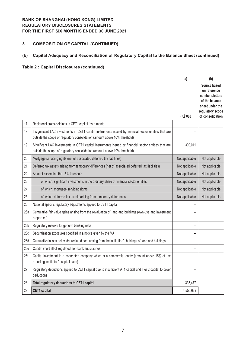# **3 COMPOSITION OF CAPITAL (CONTINUED)**

# **(b) Capital Adequacy and Reconciliation of Regulatory Capital to the Balance Sheet (continued)**

|                 |                                                                                                                                                                                      | (a)             | (b)                                                                                                      |
|-----------------|--------------------------------------------------------------------------------------------------------------------------------------------------------------------------------------|-----------------|----------------------------------------------------------------------------------------------------------|
|                 |                                                                                                                                                                                      |                 | Source based<br>on reference<br>numbers/letters<br>of the balance<br>sheet under the<br>regulatory scope |
|                 |                                                                                                                                                                                      | <b>HK\$'000</b> | of consolidation                                                                                         |
| 17              | Reciprocal cross-holdings in CET1 capital instruments                                                                                                                                |                 |                                                                                                          |
| 18              | Insignificant LAC investments in CET1 capital instruments issued by financial sector entities that are<br>outside the scope of regulatory consolidation (amount above 10% threshold) |                 |                                                                                                          |
| 19              | Significant LAC investments in CET1 capital instruments issued by financial sector entities that are<br>outside the scope of regulatory consolidation (amount above 10% threshold)   | 300,011         |                                                                                                          |
| 20              | Mortgage servicing rights (net of associated deferred tax liabilities)                                                                                                               | Not applicable  | Not applicable                                                                                           |
| 21              | Deferred tax assets arising from temporary differences (net of associated deferred tax liabilities)                                                                                  | Not applicable  | Not applicable                                                                                           |
| 22              | Amount exceeding the 15% threshold                                                                                                                                                   | Not applicable  | Not applicable                                                                                           |
| 23              | of which: significant investments in the ordinary share of financial sector entities                                                                                                 | Not applicable  | Not applicable                                                                                           |
| 24              | of which: mortgage servicing rights                                                                                                                                                  | Not applicable  | Not applicable                                                                                           |
| 25              | of which: deferred tax assets arising from temporary differences                                                                                                                     | Not applicable  | Not applicable                                                                                           |
| 26              | National specific regulatory adjustments applied to CET1 capital                                                                                                                     |                 |                                                                                                          |
| 26a             | Cumulative fair value gains arising from the revaluation of land and buildings (own-use and investment<br>properties)                                                                |                 |                                                                                                          |
| 26 <sub>b</sub> | Regulatory reserve for general banking risks                                                                                                                                         |                 |                                                                                                          |
| 26c             | Securitization exposures specified in a notice given by the MA                                                                                                                       |                 |                                                                                                          |
| 26d             | Cumulative losses below depreciated cost arising from the institution's holdings of land and buildings                                                                               |                 |                                                                                                          |
| 26e             | Capital shortfall of regulated non-bank subsidiaries                                                                                                                                 |                 |                                                                                                          |
| 26f             | Capital investment in a connected company which is a commercial entity (amount above 15% of the<br>reporting institution's capital base)                                             | -               |                                                                                                          |
| 27              | Regulatory deductions applied to CET1 capital due to insufficient AT1 capital and Tier 2 capital to cover<br>deductions                                                              |                 |                                                                                                          |
| 28              | Total regulatory deductions to CET1 capital                                                                                                                                          | 335,477         |                                                                                                          |
| 29              | <b>CET1</b> capital                                                                                                                                                                  | 4,555,639       |                                                                                                          |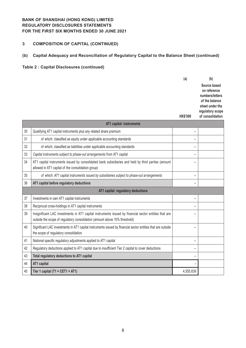# **3 COMPOSITION OF CAPITAL (CONTINUED)**

# **(b) Capital Adequacy and Reconciliation of Regulatory Capital to the Balance Sheet (continued)**

|    |                                                                                                                                                                                     | (a)                      | (b)                                                                                                                          |
|----|-------------------------------------------------------------------------------------------------------------------------------------------------------------------------------------|--------------------------|------------------------------------------------------------------------------------------------------------------------------|
|    |                                                                                                                                                                                     | <b>HK\$'000</b>          | Source based<br>on reference<br>numbers/letters<br>of the balance<br>sheet under the<br>regulatory scope<br>of consolidation |
|    | AT1 capital: instruments                                                                                                                                                            |                          |                                                                                                                              |
| 30 | Qualifying AT1 capital instruments plus any related share premium                                                                                                                   | -                        |                                                                                                                              |
| 31 | of which: classified as equity under applicable accounting standards                                                                                                                |                          |                                                                                                                              |
| 32 | of which: classified as liabilities under applicable accounting standards                                                                                                           | -                        |                                                                                                                              |
| 33 | Capital instruments subject to phase-out arrangements from AT1 capital                                                                                                              | -                        |                                                                                                                              |
| 34 | AT1 capital instruments issued by consolidated bank subsidiaries and held by third parties (amount<br>allowed in AT1 capital of the consolidation group)                            | $\overline{\phantom{0}}$ |                                                                                                                              |
| 35 | of which: AT1 capital instruments issued by subsidiaries subject to phase-out arrangements                                                                                          | $\overline{\phantom{0}}$ |                                                                                                                              |
| 36 | AT1 capital before regulatory deductions                                                                                                                                            |                          |                                                                                                                              |
|    | AT1 capital: regulatory deductions                                                                                                                                                  |                          |                                                                                                                              |
| 37 | Investments in own AT1 capital instruments                                                                                                                                          | $\overline{\phantom{0}}$ |                                                                                                                              |
| 38 | Reciprocal cross-holdings in AT1 capital instruments                                                                                                                                | -                        |                                                                                                                              |
| 39 | Insignificant LAC investments in AT1 capital instruments issued by financial sector entities that are<br>outside the scope of regulatory consolidation (amount above 10% threshold) |                          |                                                                                                                              |
| 40 | Significant LAC investments in AT1 capital instruments issued by financial sector entities that are outside<br>the scope of regulatory consolidation                                | $\equiv$                 |                                                                                                                              |
| 41 | National specific regulatory adjustments applied to AT1 capital                                                                                                                     | $\equiv$                 |                                                                                                                              |
| 42 | Regulatory deductions applied to AT1 capital due to insufficient Tier 2 capital to cover deductions                                                                                 | $\overline{\phantom{0}}$ |                                                                                                                              |
| 43 | Total regulatory deductions to AT1 capital                                                                                                                                          |                          |                                                                                                                              |
| 44 | AT1 capital                                                                                                                                                                         |                          |                                                                                                                              |
| 45 | Tier 1 capital (T1 = CET1 + AT1)                                                                                                                                                    | 4,555,639                |                                                                                                                              |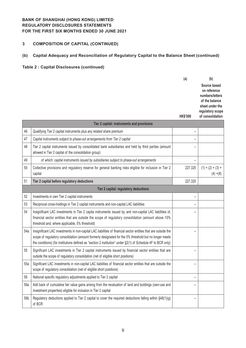# **3 COMPOSITION OF CAPITAL (CONTINUED)**

# **(b) Capital Adequacy and Reconciliation of Regulatory Capital to the Balance Sheet (continued)**

|     |                                                                                                                                                                                                                                                                                                                                          | (a)<br><b>HK\$'000</b>   | (b)<br>Source based<br>on reference<br>numbers/letters<br>of the balance<br>sheet under the<br>regulatory scope<br>of consolidation |
|-----|------------------------------------------------------------------------------------------------------------------------------------------------------------------------------------------------------------------------------------------------------------------------------------------------------------------------------------------|--------------------------|-------------------------------------------------------------------------------------------------------------------------------------|
|     | Tier 2 capital: instruments and provisions                                                                                                                                                                                                                                                                                               |                          |                                                                                                                                     |
| 46  | Qualifying Tier 2 capital instruments plus any related share premium                                                                                                                                                                                                                                                                     |                          |                                                                                                                                     |
| 47  | Capital instruments subject to phase-out arrangements from Tier 2 capital                                                                                                                                                                                                                                                                |                          |                                                                                                                                     |
| 48  | Tier 2 capital instruments issued by consolidated bank subsidiaries and held by third parties (amount<br>allowed in Tier 2 capital of the consolidation group)                                                                                                                                                                           | -                        |                                                                                                                                     |
| 49  | of which: capital instruments issued by subsidiaries subject to phase-out arrangements                                                                                                                                                                                                                                                   | $\overline{\phantom{0}}$ |                                                                                                                                     |
| 50  | Collective provisions and regulatory reserve for general banking risks eligible for inclusion in Tier 2<br>capital                                                                                                                                                                                                                       | 227,325                  | $(1) + (2) + (3) +$<br>$(4) + (8)$                                                                                                  |
| 51  | Tier 2 capital before regulatory deductions                                                                                                                                                                                                                                                                                              | 227,325                  |                                                                                                                                     |
|     | Tier 2 capital: regulatory deductions                                                                                                                                                                                                                                                                                                    |                          |                                                                                                                                     |
| 52  | Investments in own Tier 2 capital instruments                                                                                                                                                                                                                                                                                            | -                        |                                                                                                                                     |
| 53  | Reciprocal cross-holdings in Tier 2 capital instruments and non-capital LAC liabilities                                                                                                                                                                                                                                                  | -                        |                                                                                                                                     |
| 54  | Insignificant LAC investments in Tier 2 capita instruments issued by, and non-capital LAC liabilities of,<br>financial sector entities that are outside the scope of regulatory consolidation (amount above 10%<br>threshold and, where applicable, 5% threshold)                                                                        |                          |                                                                                                                                     |
| 54a | Insignificant LAC investments in non-capital LAC liabilities of financial sector entities that are outside the<br>scope of regulatory consolidation (amount formerly designated for the 5% threshold but no longer meets<br>the conditions) (for institutions defined as "section 2 institution" under §2(1) of Schedule 4F to BCR only) |                          |                                                                                                                                     |
| 55  | Significant LAC investments in Tier 2 capital instruments issued by financial sector entities that are<br>outside the scope of regulatory consolidation (net of eligible short positions)                                                                                                                                                | -                        |                                                                                                                                     |
| 55a | Significant LAC investments in non-capital LAC liabilities of financial sector entities that are outside the<br>scope of regulatory consolidation (net of eligible short positions)                                                                                                                                                      | -                        |                                                                                                                                     |
| 56  | National specific regulatory adjustments applied to Tier 2 capital                                                                                                                                                                                                                                                                       |                          |                                                                                                                                     |
| 56a | Add back of cumulative fair value gains arising from the revaluation of land and buildings (own-use and<br>investment properties) eligible for inclusion in Tier 2 capital                                                                                                                                                               |                          |                                                                                                                                     |
| 56b | Regulatory deductions applied to Tier 2 capital to cover the required deductions falling within §48(1)(g)<br>of BCR                                                                                                                                                                                                                      | -                        |                                                                                                                                     |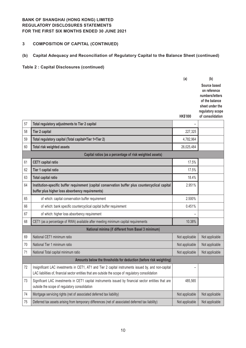# **3 COMPOSITION OF CAPITAL (CONTINUED)**

# **(b) Capital Adequacy and Reconciliation of Regulatory Capital to the Balance Sheet (continued)**

|    |                                                                                                                                                                                                              | (a)             | (b)                                                               |
|----|--------------------------------------------------------------------------------------------------------------------------------------------------------------------------------------------------------------|-----------------|-------------------------------------------------------------------|
|    |                                                                                                                                                                                                              |                 | Source based<br>on reference<br>numbers/letters<br>of the balance |
|    |                                                                                                                                                                                                              |                 | sheet under the                                                   |
|    |                                                                                                                                                                                                              | <b>HK\$'000</b> | regulatory scope<br>of consolidation                              |
| 57 | Total regulatory adjustments to Tier 2 capital                                                                                                                                                               |                 |                                                                   |
| 58 | <b>Tier 2 capital</b>                                                                                                                                                                                        | 227,325         |                                                                   |
| 59 | Total regulatory capital (Total capital=Tier 1+Tier 2)                                                                                                                                                       | 4,782,964       |                                                                   |
| 60 | Total risk weighted assets                                                                                                                                                                                   | 26,025,484      |                                                                   |
|    | Capital ratios (as a percentage of risk weighted assets)                                                                                                                                                     |                 |                                                                   |
| 61 | <b>CET1</b> capital ratio                                                                                                                                                                                    | 17.5%           |                                                                   |
| 62 | Tier 1 capital ratio                                                                                                                                                                                         | 17.5%           |                                                                   |
| 63 | <b>Total capital ratio</b>                                                                                                                                                                                   | 18.4%           |                                                                   |
| 64 | Institution-specific buffer requirement (capital conservation buffer plus countercyclical capital<br>buffer plus higher loss absorbency requirements)                                                        | 2.951%          |                                                                   |
| 65 | of which: capital conservation buffer requirement                                                                                                                                                            | 2.500%          |                                                                   |
| 66 | of which: bank specific countercyclical capital buffer requirement                                                                                                                                           | 0.451%          |                                                                   |
| 67 | of which: higher loss absorbency requirement                                                                                                                                                                 |                 |                                                                   |
| 68 | CET1 (as a percentage of RWA) available after meeting minimum capital requirements                                                                                                                           | 10.38%          |                                                                   |
|    | National minima (if different from Basel 3 minimum)                                                                                                                                                          |                 |                                                                   |
| 69 | National CET1 minimum ratio                                                                                                                                                                                  | Not applicable  | Not applicable                                                    |
| 70 | National Tier 1 minimum ratio                                                                                                                                                                                | Not applicable  | Not applicable                                                    |
| 71 | National Total capital minimum ratio                                                                                                                                                                         | Not applicable  | Not applicable                                                    |
|    | Amounts below the thresholds for deduction (before risk weighting)                                                                                                                                           |                 |                                                                   |
| 72 | Insignificant LAC investments in CET1, AT1 and Tier 2 capital instruments issued by, and non-capital<br>LAC liabilities of, financial sector entities that are outside the scope of regulatory consolidation |                 |                                                                   |
| 73 | Significant LAC investments in CET1 capital instruments issued by financial sector entities that are<br>outside the scope of regulatory consolidation                                                        | 485,565         |                                                                   |
| 74 | Mortgage servicing rights (net of associated deferred tax liability)                                                                                                                                         | Not applicable  | Not applicable                                                    |
| 75 | Deferred tax assets arising from temporary differences (net of associated deferred tax liability)                                                                                                            | Not applicable  | Not applicable                                                    |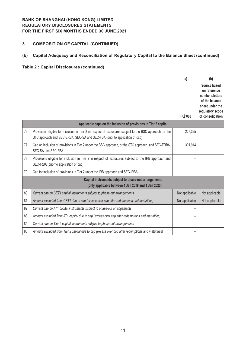# **3 COMPOSITION OF CAPITAL (CONTINUED)**

# **(b) Capital Adequacy and Reconciliation of Regulatory Capital to the Balance Sheet (continued)**

|    |                                                                                                                                                                                        | (a)                      | (b)                                                                                                                          |
|----|----------------------------------------------------------------------------------------------------------------------------------------------------------------------------------------|--------------------------|------------------------------------------------------------------------------------------------------------------------------|
|    |                                                                                                                                                                                        | <b>HK\$'000</b>          | Source based<br>on reference<br>numbers/letters<br>of the balance<br>sheet under the<br>regulatory scope<br>of consolidation |
|    | Applicable caps on the inclusion of provisions in Tier 2 capital                                                                                                                       |                          |                                                                                                                              |
| 76 | Provisions eligible for inclusion in Tier 2 in respect of exposures subject to the BSC approach, or the<br>STC approach and SEC-ERBA, SEC-SA and SEC-FBA (prior to application of cap) | 227,325                  |                                                                                                                              |
| 77 | Cap on inclusion of provisions in Tier 2 under the BSC approach, or the STC approach, and SEC-ERBA,<br>SEC-SA and SEC-FBA                                                              | 301,914                  |                                                                                                                              |
| 78 | Provisions eligible for inclusion in Tier 2 in respect of exposures subject to the IRB approach and<br>SEC-IRBA (prior to application of cap)                                          |                          |                                                                                                                              |
| 79 | Cap for inclusion of provisions in Tier 2 under the IRB approach and SEC-IRBA                                                                                                          |                          |                                                                                                                              |
|    | Capital instruments subject to phase-out arrangements                                                                                                                                  |                          |                                                                                                                              |
|    | (only applicable between 1 Jan 2018 and 1 Jan 2022)                                                                                                                                    |                          |                                                                                                                              |
| 80 | Current cap on CET1 capital instruments subject to phase-out arrangements                                                                                                              | Not applicable           | Not applicable                                                                                                               |
| 81 | Amount excluded from CET1 due to cap (excess over cap after redemptions and maturities)                                                                                                | Not applicable           | Not applicable                                                                                                               |
| 82 | Current cap on AT1 capital instruments subject to phase-out arrangements                                                                                                               |                          |                                                                                                                              |
| 83 | Amount excluded from AT1 capital due to cap (excess over cap after redemptions and maturities)                                                                                         | -                        |                                                                                                                              |
| 84 | Current cap on Tier 2 capital instruments subject to phase-out arrangements                                                                                                            | $\overline{\phantom{0}}$ |                                                                                                                              |
| 85 | Amount excluded from Tier 2 capital due to cap (excess over cap after redemptions and maturities)                                                                                      |                          |                                                                                                                              |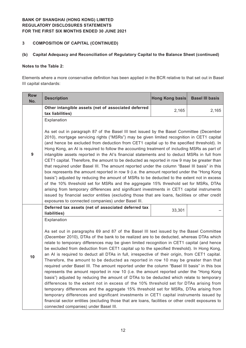# **3 COMPOSITION OF CAPITAL (CONTINUED)**

### **(b) Capital Adequacy and Reconciliation of Regulatory Capital to the Balance Sheet (continued)**

### **Notes to the Table 2:**

Elements where a more conservative definition has been applied in the BCR relative to that set out in Basel III capital standards:

| <b>Row</b><br>No. | <b>Description</b>                                                                                                                                                                                                                                                                                                                                                                                                                                                                                                                                                                                                                                                                                                                                                                                                                                                                                                                                                                                                                                                                                                                                                                                                                                                                                         | Hong Kong basis | <b>Basel III basis</b> |  |  |  |
|-------------------|------------------------------------------------------------------------------------------------------------------------------------------------------------------------------------------------------------------------------------------------------------------------------------------------------------------------------------------------------------------------------------------------------------------------------------------------------------------------------------------------------------------------------------------------------------------------------------------------------------------------------------------------------------------------------------------------------------------------------------------------------------------------------------------------------------------------------------------------------------------------------------------------------------------------------------------------------------------------------------------------------------------------------------------------------------------------------------------------------------------------------------------------------------------------------------------------------------------------------------------------------------------------------------------------------------|-----------------|------------------------|--|--|--|
|                   | Other intangible assets (net of associated deferred<br>tax liabilities)                                                                                                                                                                                                                                                                                                                                                                                                                                                                                                                                                                                                                                                                                                                                                                                                                                                                                                                                                                                                                                                                                                                                                                                                                                    | 2,165           | 2,165                  |  |  |  |
| $\boldsymbol{9}$  | Explanation<br>As set out in paragraph 87 of the Basel III text issued by the Basel Committee (December<br>2010), mortgage servicing rights ("MSRs") may be given limited recognition in CET1 capital<br>(and hence be excluded from deduction from CET1 capital up to the specified threshold). In<br>Hong Kong, an AI is required to follow the accounting treatment of including MSRs as part of<br>intangible assets reported in the AI's financial statements and to deduct MSRs in full from<br>CET1 capital. Therefore, the amount to be deducted as reported in row 9 may be greater than<br>that required under Basel III. The amount reported under the column "Basel III basis" in this<br>box represents the amount reported in row 9 (i.e. the amount reported under the "Hong Kong<br>basis") adjusted by reducing the amount of MSRs to be deducted to the extent not in excess<br>of the 10% threshold set for MSRs and the aggregate 15% threshold set for MSRs, DTAs<br>arising from temporary differences and significant investments in CET1 capital instruments<br>issued by financial sector entities (excluding those that are loans, facilities or other credit                                                                                                                    |                 |                        |  |  |  |
|                   | exposures to connected companies) under Basel III.<br>Deferred tax assets (net of associated deferred tax<br>liabilities)                                                                                                                                                                                                                                                                                                                                                                                                                                                                                                                                                                                                                                                                                                                                                                                                                                                                                                                                                                                                                                                                                                                                                                                  | 33,301          |                        |  |  |  |
| 10                | Explanation<br>As set out in paragraphs 69 and 87 of the Basel III text issued by the Basel Committee<br>(December 2010), DTAs of the bank to be realized are to be deducted, whereas DTAs which<br>relate to temporary differences may be given limited recognition in CET1 capital (and hence<br>be excluded from deduction from CET1 capital up to the specified threshold). In Hong Kong,<br>an AI is required to deduct all DTAs in full, irrespective of their origin, from CET1 capital.<br>Therefore, the amount to be deducted as reported in row 10 may be greater than that<br>required under Basel III. The amount reported under the column "Basel III basis" in this box<br>represents the amount reported in row 10 (i.e. the amount reported under the "Hong Kong<br>basis") adjusted by reducing the amount of DTAs to be deducted which relate to temporary<br>differences to the extent not in excess of the 10% threshold set for DTAs arising from<br>temporary differences and the aggregate 15% threshold set for MSRs, DTAs arising from<br>temporary differences and significant investments in CET1 capital instruments issued by<br>financial sector entities (excluding those that are loans, facilities or other credit exposures to<br>connected companies) under Basel III. |                 |                        |  |  |  |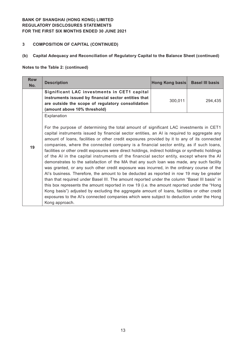# **3 COMPOSITION OF CAPITAL (CONTINUED)**

# **(b) Capital Adequacy and Reconciliation of Regulatory Capital to the Balance Sheet (continued)**

#### **Notes to the Table 2: (continued)**

| <b>Row</b><br>No. | <b>Description</b>                                                                                                                                                                                                                                                                                                                                                                                                                                                                                                                                                                                                                                                                                                                                                                                                                                                                                                                                                                                                                                                                                                                                                                                                                                                                                     | Hong Kong basis | <b>Basel III basis</b> |
|-------------------|--------------------------------------------------------------------------------------------------------------------------------------------------------------------------------------------------------------------------------------------------------------------------------------------------------------------------------------------------------------------------------------------------------------------------------------------------------------------------------------------------------------------------------------------------------------------------------------------------------------------------------------------------------------------------------------------------------------------------------------------------------------------------------------------------------------------------------------------------------------------------------------------------------------------------------------------------------------------------------------------------------------------------------------------------------------------------------------------------------------------------------------------------------------------------------------------------------------------------------------------------------------------------------------------------------|-----------------|------------------------|
|                   | Significant LAC investments in CET1 capital<br>instruments issued by financial sector entities that<br>are outside the scope of regulatory consolidation<br>(amount above 10% threshold)                                                                                                                                                                                                                                                                                                                                                                                                                                                                                                                                                                                                                                                                                                                                                                                                                                                                                                                                                                                                                                                                                                               | 300,011         | 294,435                |
| 19                | Explanation<br>For the purpose of determining the total amount of significant LAC investments in CET1<br>capital instruments issued by financial sector entities, an AI is required to aggregate any<br>amount of loans, facilities or other credit exposures provided by it to any of its connected<br>companies, where the connected company is a financial sector entity, as if such loans,<br>facilities or other credit exposures were direct holdings, indirect holdings or synthetic holdings<br>of the AI in the capital instruments of the financial sector entity, except where the AI<br>demonstrates to the satisfaction of the MA that any such loan was made, any such facility<br>was granted, or any such other credit exposure was incurred, in the ordinary course of the<br>Al's business. Therefore, the amount to be deducted as reported in row 19 may be greater<br>than that required under Basel III. The amount reported under the column "Basel III basis" in<br>this box represents the amount reported in row 19 (i.e. the amount reported under the "Hong"<br>Kong basis") adjusted by excluding the aggregate amount of loans, facilities or other credit<br>exposures to the AI's connected companies which were subject to deduction under the Hong<br>Kong approach. |                 |                        |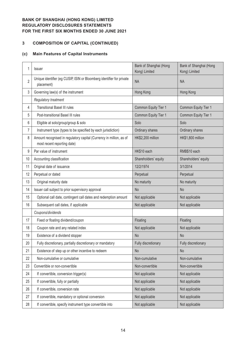# **COMPOSITION OF CAPITAL (CONTINUED)**

### **(c) Main Features of Capital Instruments**

| 1              | Issuer                                                                                             | Bank of Shanghai (Hong<br>Kong) Limited | Bank of Shanghai (Hong<br>Kong) Limited |
|----------------|----------------------------------------------------------------------------------------------------|-----------------------------------------|-----------------------------------------|
| $\overline{2}$ | Unique identifier (eg CUSIP, ISIN or Bloomberg identifier for private<br>placement)                | <b>NA</b>                               | <b>NA</b>                               |
| 3              | Governing law(s) of the instrument                                                                 | Hong Kong                               | Hong Kong                               |
|                | Regulatory treatment                                                                               |                                         |                                         |
| 4              | <b>Transitional Basel III rules</b>                                                                | Common Equity Tier 1                    | Common Equity Tier 1                    |
| 5              | Post-transitional Basel III rules                                                                  | Common Equity Tier 1                    | Common Equity Tier 1                    |
| 6              | Eligible at solo/group/group & solo                                                                | Solo                                    | Solo                                    |
| 7              | Instrument type (types to be specified by each jurisdiction)                                       | Ordinary shares                         | Ordinary shares                         |
| 8              | Amount recognised in regulatory capital (Currency in million, as of<br>most recent reporting date) | HK\$2,200 million                       | HK\$1,800 million                       |
| 9              | Par value of instrument                                                                            | HK\$10 each                             | RMB\$10 each                            |
| 10             | Accounting classification                                                                          | Shareholders' equity                    | Shareholders' equity                    |
| 11             | Original date of issuance                                                                          | 12/2/1974                               | 3/1/2014                                |
| 12             | Perpetual or dated                                                                                 | Perpetual                               | Perpetual                               |
| 13             | Original maturity date                                                                             | No maturity                             | No maturity                             |
| 14             | Issuer call subject to prior supervisory approval                                                  | <b>No</b>                               | <b>No</b>                               |
| 15             | Optional call date, contingent call dates and redemption amount                                    | Not applicable                          | Not applicable                          |
| 16             | Subsequent call dates, if applicable                                                               | Not applicable                          | Not applicable                          |
|                | Coupons/dividends                                                                                  |                                         |                                         |
| 17             | Fixed or floating dividend/coupon                                                                  | Floating                                | Floating                                |
| 18             | Coupon rate and any related index                                                                  | Not applicable                          | Not applicable                          |
| 19             | Existence of a dividend stopper                                                                    | <b>No</b>                               | <b>No</b>                               |
| 20             | Fully discretionary, partially discretionary or mandatory                                          | Fully discretionary                     | Fully discretionary                     |
| 21             | Existence of step up or other incentive to redeem                                                  | <b>No</b>                               | <b>No</b>                               |
| 22             | Non-cumulative or cumulative                                                                       | Non-cumulative                          | Non-cumulative                          |
| 23             | Convertible or non-convertible                                                                     | Non-convertible                         | Non-convertible                         |
| 24             | If convertible, conversion trigger(s)                                                              | Not applicable                          | Not applicable                          |
| 25             | If convertible, fully or partially                                                                 | Not applicable                          | Not applicable                          |
| 26             | If convertible, conversion rate                                                                    | Not applicable                          | Not applicable                          |
| 27             | If convertible, mandatory or optional conversion                                                   | Not applicable                          | Not applicable                          |
| 28             | If convertible, specify instrument type convertible into                                           | Not applicable                          | Not applicable                          |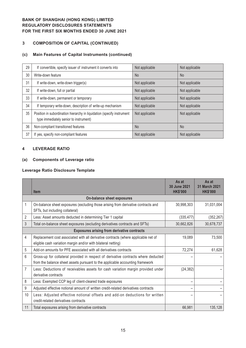# **3 COMPOSITION OF CAPITAL (CONTINUED)**

### **(c) Main Features of Capital Instruments (continued)**

| 29 | If convertible, specify issuer of instrument it converts into                                                    | Not applicable | Not applicable |
|----|------------------------------------------------------------------------------------------------------------------|----------------|----------------|
| 30 | Write-down feature                                                                                               | <b>No</b>      | N <sub>o</sub> |
| 31 | If write-down, write-down trigger(s)                                                                             | Not applicable | Not applicable |
| 32 | If write-down, full or partial                                                                                   | Not applicable | Not applicable |
| 33 | If write-down, permanent or temporary                                                                            | Not applicable | Not applicable |
| 34 | If temporary write-down, description of write-up mechanism                                                       | Not applicable | Not applicable |
| 35 | Position in subordination hierarchy in liquidation (specify instrument<br>type immediately senior to instrument) | Not applicable | Not applicable |
| 36 | Non-compliant transitioned features                                                                              | <b>No</b>      | <b>No</b>      |
| 37 | If yes, specify non-compliant features                                                                           | Not applicable | Not applicable |

### **4 LEVERAGE RATIO**

#### **(a) Components of Leverage ratio**

#### **Leverage Ratio Disclosure Template**

|                | <b>Item</b>                                                                                                                                                         | As at<br>30 June 2021<br><b>HK\$'000</b> | As at<br>31 March 2021<br><b>HK\$'000</b> |
|----------------|---------------------------------------------------------------------------------------------------------------------------------------------------------------------|------------------------------------------|-------------------------------------------|
|                | On-balance sheet exposures                                                                                                                                          |                                          |                                           |
|                | On-balance sheet exposures (excluding those arising from derivative contracts and<br>SFTs, but including collateral)                                                | 30,998,303                               | 31,031,004                                |
| 2              | Less: Asset amounts deducted in determining Tier 1 capital                                                                                                          | (335, 477)                               | (352, 267)                                |
| $\mathfrak{Z}$ | Total on-balance sheet exposures (excluding derivatives contracts and SFTs)                                                                                         | 30,662,826                               | 30,678,737                                |
|                | <b>Exposures arising from derivative contracts</b>                                                                                                                  |                                          |                                           |
| 4              | Replacement cost associated with all derivative contracts (where applicable net of<br>eligible cash variation margin and/or with bilateral netting)                 | 19,089                                   | 73,500                                    |
| 5              | Add-on amounts for PFE associated with all derivatives contracts                                                                                                    | 72,274                                   | 61,628                                    |
| 6              | Gross-up for collateral provided in respect of derivative contracts where deducted<br>from the balance sheet assets pursuant to the applicable accounting framework |                                          |                                           |
| 7              | Less: Deductions of receivables assets for cash variation margin provided under<br>derivative contracts                                                             | (24, 382)                                |                                           |
| 8              | Less: Exempted CCP leg of client-cleared trade exposures                                                                                                            |                                          |                                           |
| 9              | Adjusted effective notional amount of written credit-related derivatives contracts                                                                                  |                                          |                                           |
| 10             | Less: Adjusted effective notional offsets and add-on deductions for written<br>credit-related derivatives contracts                                                 |                                          |                                           |
| 11             | Total exposures arising from derivative contracts                                                                                                                   | 66,981                                   | 135,128                                   |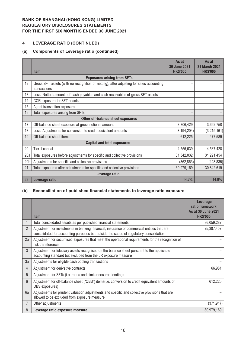### **4 LEVERAGE RATIO (CONTINUED)**

# **(a) Components of Leverage ratio (continued)**

|                                   |                                                                                                         | As at<br>30 June 2021 | As at<br><b>31 March 2021</b> |  |
|-----------------------------------|---------------------------------------------------------------------------------------------------------|-----------------------|-------------------------------|--|
|                                   | <b>Item</b>                                                                                             | <b>HK\$'000</b>       | <b>HK\$'000</b>               |  |
|                                   | <b>Exposures arising from SFTs</b>                                                                      |                       |                               |  |
| 12                                | Gross SFT assets (with no recognition of netting), after adjusting for sales accounting<br>transactions |                       |                               |  |
| 13                                | Less: Netted amounts of cash payables and cash receivables of gross SFT assets                          |                       |                               |  |
| 14                                | CCR exposure for SFT assets                                                                             |                       |                               |  |
| 15                                | Agent transaction exposures                                                                             |                       |                               |  |
| 16                                | Total exposures arising from SFTs                                                                       |                       |                               |  |
| Other off-balance sheet exposures |                                                                                                         |                       |                               |  |
| 17                                | Off-balance sheet exposure at gross notional amount                                                     | 3,806,429             | 3,692,750                     |  |
| 18                                | Less: Adjustments for conversion to credit equivalent amounts                                           | (3, 194, 204)         | (3,215,161)                   |  |
| 19                                | Off-balance sheet items                                                                                 | 612,225               | 477,589                       |  |
|                                   | <b>Capital and total exposures</b>                                                                      |                       |                               |  |
| 20                                | Tier 1 capital                                                                                          | 4,555,639             | 4,587,428                     |  |
| 20a                               | Total exposures before adjustments for specific and collective provisions                               | 31,342,032            | 31,291,454                    |  |
| 20 <sub>b</sub>                   | Adjustments for specific and collective provisions                                                      | (362, 863)            | (448, 835)                    |  |
| 21                                | Total exposures after adjustments for specific and collective provisions                                | 30,979,169            | 30,842,619                    |  |
|                                   | Leverage ratio                                                                                          |                       |                               |  |
| 22                                | Leverage ratio                                                                                          | 14.7%                 | 14.9%                         |  |

### **(b) Reconciliation of published financial statements to leverage ratio exposure**

|                | <b>Item</b>                                                                                                                                                                           | Leverage<br>ratio framework<br>As at 30 June 2021<br><b>HK\$'000</b> |
|----------------|---------------------------------------------------------------------------------------------------------------------------------------------------------------------------------------|----------------------------------------------------------------------|
|                | Total consolidated assets as per published financial statements                                                                                                                       | 36,059,287                                                           |
| $\overline{2}$ | Adjustment for investments in banking, financial, insurance or commercial entities that are<br>consolidated for accounting purposes but outside the scope of regulatory consolidation | (5,387,407)                                                          |
| 2a             | Adjustment for securitised exposures that meet the operational requirements for the recognition of<br>risk transference                                                               |                                                                      |
| $\mathfrak{Z}$ | Adjustment for fiduciary assets recognised on the balance sheet pursuant to the applicable<br>accounting standard but excluded from the LR exposure measure                           |                                                                      |
| 3a             | Adjustments for eligible cash pooling transactions                                                                                                                                    |                                                                      |
| $\overline{4}$ | Adjustment for derivative contracts                                                                                                                                                   | 66,981                                                               |
| 5              | Adjustment for SFTs (i.e. repos and similar secured lending)                                                                                                                          |                                                                      |
| $6\phantom{1}$ | Adjustment for off-balance sheet ("OBS") items(i.e. conversion to credit equivalent amounts of<br>OBS exposures)                                                                      | 612,225                                                              |
| 6a             | Adjustments for prudent valuation adjustments and specific and collective provisions that are<br>allowed to be excluded from exposure measure                                         |                                                                      |
| 7              | Other adjustments                                                                                                                                                                     | (371, 917)                                                           |
| 8              | Leverage ratio exposure measure                                                                                                                                                       | 30,979,169                                                           |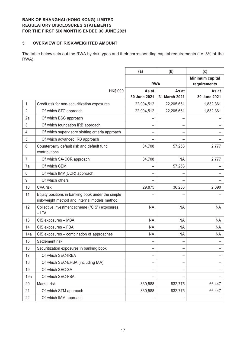#### **5 OVERVIEW OF RISK-WEIGHTED AMOUNT**

The table below sets out the RWA by risk types and their corresponding capital requirements (i.e. 8% of the RWA):

|                |                                                                                                    | (a)          | (b)           | (c)                             |
|----------------|----------------------------------------------------------------------------------------------------|--------------|---------------|---------------------------------|
|                |                                                                                                    |              | <b>RWA</b>    | Minimum capital<br>requirements |
|                | HK\$'000                                                                                           | As at        | As at         | As at                           |
|                |                                                                                                    | 30 June 2021 | 31 March 2021 | 30 June 2021                    |
| 1              | Credit risk for non-securitization exposures                                                       | 22,904,512   | 22,205,661    | 1,832,361                       |
| $\overline{2}$ | Of which STC approach                                                                              | 22,904,512   | 22,205,661    | 1,832,361                       |
| 2a             | Of which BSC approach                                                                              |              |               |                                 |
| 3              | Of which foundation IRB approach                                                                   |              |               |                                 |
| 4              | Of which supervisory slotting criteria approach                                                    |              |               |                                 |
| 5              | Of which advanced IRB approach                                                                     |              |               |                                 |
| 6              | Counterparty default risk and default fund<br>contributions                                        | 34,708       | 57,253        | 2,777                           |
| $\overline{7}$ | Of which SA-CCR approach                                                                           | 34,708       | <b>NA</b>     | 2,777                           |
| 7a             | Of which CEM                                                                                       |              | 57,253        |                                 |
| 8              | Of which IMM(CCR) approach                                                                         |              |               |                                 |
| 9              | Of which others                                                                                    |              |               |                                 |
| 10             | <b>CVA</b> risk                                                                                    | 29,875       | 36,263        | 2,390                           |
| 11             | Equity positions in banking book under the simple<br>risk-weight method and internal models method |              |               |                                 |
| 12             | Collective investment scheme ("CIS") exposures<br>$-LTA$                                           | <b>NA</b>    | <b>NA</b>     | <b>NA</b>                       |
| 13             | CIS exposures - MBA                                                                                | <b>NA</b>    | <b>NA</b>     | <b>NA</b>                       |
| 14             | CIS exposures - FBA                                                                                | <b>NA</b>    | <b>NA</b>     | NA                              |
| 14a            | CIS exposures - combination of approaches                                                          | <b>NA</b>    | <b>NA</b>     | <b>NA</b>                       |
| 15             | Settlement risk                                                                                    |              |               |                                 |
| 16             | Securitization exposures in banking book                                                           |              |               |                                 |
| 17             | Of which SEC-IRBA                                                                                  |              |               |                                 |
| 18             | Of which SEC-ERBA (including IAA)                                                                  |              |               |                                 |
| 19             | Of which SEC-SA                                                                                    | -            |               |                                 |
| 19a            | Of which SEC-FBA                                                                                   |              |               |                                 |
| 20             | Market risk                                                                                        | 830,588      | 832,775       | 66,447                          |
| 21             | Of which STM approach                                                                              | 830,588      | 832,775       | 66,447                          |
| 22             | Of which IMM approach                                                                              |              |               |                                 |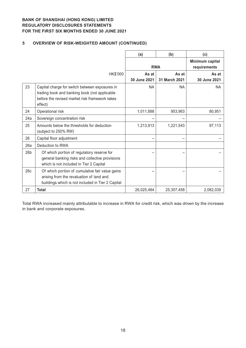# **5 OVERVIEW OF RISK-WEIGHTED AMOUNT (CONTINUED)**

|                 |                                                                                                                                                              | (a)                   | (b)                    | (c)                             |
|-----------------|--------------------------------------------------------------------------------------------------------------------------------------------------------------|-----------------------|------------------------|---------------------------------|
|                 |                                                                                                                                                              | <b>RWA</b>            |                        | Minimum capital<br>requirements |
|                 | HK\$'000                                                                                                                                                     | As at<br>30 June 2021 | As at<br>31 March 2021 | As at<br>30 June 2021           |
| 23              | Capital charge for switch between exposures in<br>trading book and banking book (not applicable<br>before the revised market risk framework takes<br>effect) | <b>NA</b>             | <b>NA</b>              | <b>NA</b>                       |
| 24              | Operational risk                                                                                                                                             | 1,011,888             | 953,963                | 80,951                          |
| 24a             | Sovereign concentration risk                                                                                                                                 |                       |                        |                                 |
| 25              | Amounts below the thresholds for deduction<br>(subject to 250% RW)                                                                                           | 1,213,913             | 1,221,543              | 97,113                          |
| 26              | Capital floor adjustment                                                                                                                                     |                       |                        |                                 |
| 26a             | Deduction to RWA                                                                                                                                             |                       |                        |                                 |
| 26 <sub>b</sub> | Of which portion of regulatory reserve for<br>general banking risks and collective provisions<br>which is not included in Tier 2 Capital                     |                       |                        |                                 |
| 26c             | Of which portion of cumulative fair value gains<br>arising from the revaluation of land and<br>buildings which is not included in Tier 2 Capital             |                       |                        |                                 |
| 27              | <b>Total</b>                                                                                                                                                 | 26,025,484            | 25,307,458             | 2,082,039                       |

Total RWA increased mainly attributable to increase in RWA for credit risk, which was driven by the increase in bank and corporate exposures.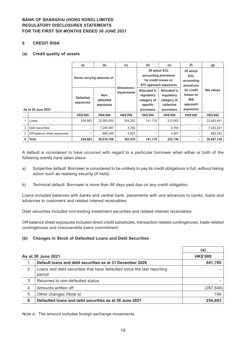#### **6 CREDIT RISK**

#### **(a) Credit quality of assets**

|                |                             | (a)                           | (b)                            | (c)             | (d)                                                                        | (e)                                                                   | (f)                                                            | (g)             |
|----------------|-----------------------------|-------------------------------|--------------------------------|-----------------|----------------------------------------------------------------------------|-----------------------------------------------------------------------|----------------------------------------------------------------|-----------------|
|                |                             | Gross carrying amounts of     |                                | Allowances /    | Of which ECL<br>accounting provisions                                      | for credit losses on<br>STC approach exposures                        | Of which<br><b>ECL</b><br>accounting<br>provisions             |                 |
|                | As at 30 June 2021          | <b>Defaulted</b><br>exposures | Non-<br>defaulted<br>exposures | impairments     | <b>Allocated in</b><br>regulatory<br>category of<br>specific<br>provisions | Allocated in<br>regulatory<br>category of<br>collective<br>provisions | for credit<br>losses on<br><b>IRB</b><br>approach<br>exposures | Net values      |
|                |                             | <b>HK\$'000</b>               | <b>HK\$'000</b>                | <b>HK\$'000</b> | <b>HK\$'000</b>                                                            | <b>HK\$'000</b>                                                       | <b>HK\$'000</b>                                                | <b>HK\$'000</b> |
|                | Loans                       | 254,883                       | 22,582,830                     | 354,252         | 141.170                                                                    | 213,082                                                               |                                                                | 22,483,461      |
| $\overline{2}$ | Debt securities             | $\qquad \qquad$               | 7,245,087                      | 4,760           | $\overline{\phantom{0}}$                                                   | 4,760                                                                 | —                                                              | 7,240,327       |
| 3              | Off-balance sheet exposures |                               | 688,249                        | 4,907           | $\overline{\phantom{0}}$                                                   | 4,907                                                                 | —                                                              | 683,342         |
| 4              | <b>Total</b>                | 254.883                       | 30,516,166                     | 363,919         | 141,170                                                                    | 222,749                                                               | -                                                              | 30,407,130      |

A default is considered to have occurred with regard to a particular borrower when either or both of the following events have taken place:

- a) Subjective default: Borrower is considered to be unlikely to pay its credit obligations in full, without taking action such as realising security (if held).
- b) Technical default: Borrower is more than 90 days past due on any credit obligation.

Loans included balances with banks and central bank, placements with and advances to banks, loans and advances to customers and related interest receivables.

Debt securities included non-trading investment securities and related interest receivables.

Off-balance sheet exposures included direct credit substitutes, transaction-related contingencies, trade-related contingencies and irrecoverable loans commitment.

#### **(b) Changes in Stock of Defaulted Loans and Debt Securities**

|   |                                                                                  | (a)             |
|---|----------------------------------------------------------------------------------|-----------------|
|   | As at 30 June 2021                                                               | <b>HK\$'000</b> |
|   | Default loans and debt securities as at 31 December 2020                         | 541,785         |
| 2 | Loans and debt securities that have defaulted since the last reporting<br>period |                 |
| 3 | Returned to non-defaulted status                                                 |                 |
| 4 | Amounts written off                                                              | (287, 648)      |
| 5 | Other changes (Note a)                                                           | 746             |
| 6 | Defaulted loans and debt securities as at 30 June 2021                           | 254,883         |

Note a : The amount includes foreign exchange movements.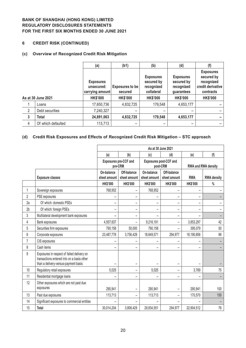### **6 CREDIT RISK (CONTINUED)**

### **(c) Overview of Recognized Credit Risk Mitigation**

|                |                    | (a)                                               | (b1)                              | (b)                                                        | (d)                                                        | (f)                                                                            |
|----------------|--------------------|---------------------------------------------------|-----------------------------------|------------------------------------------------------------|------------------------------------------------------------|--------------------------------------------------------------------------------|
|                |                    | <b>Exposures</b><br>unsecured:<br>carrying amount | <b>Exposures to be</b><br>secured | <b>Exposures</b><br>secured by<br>recognized<br>collateral | <b>Exposures</b><br>secured by<br>recognized<br>guarantees | <b>Exposures</b><br>secured by<br>recognized<br>credit derivative<br>contracts |
|                | As at 30 June 2021 | <b>HK\$'000</b>                                   | <b>HK\$'000</b>                   | <b>HK\$'000</b>                                            | <b>HK\$'000</b>                                            | <b>HK\$'000</b>                                                                |
|                | Loans              | 17,650,736                                        | 4,832,725                         | 179,548                                                    | 4,653,177                                                  |                                                                                |
| $\overline{2}$ | Debt securities    | 7,240,327                                         |                                   |                                                            | -                                                          |                                                                                |
| $\mathbf{3}$   | <b>Total</b>       | 24,891,063                                        | 4,832,725                         | 179,548                                                    | 4,653,177                                                  |                                                                                |
| 4              | Of which defaulted | 113,713                                           | -                                 |                                                            | -                                                          |                                                                                |

# **(d) Credit Risk Exposures and Effects of Recognized Credit Risk Mitigation – STC approach**

|                |                                                                                                                                  |                            |                                  | As at 30 June 2021         |                             |                 |                     |
|----------------|----------------------------------------------------------------------------------------------------------------------------------|----------------------------|----------------------------------|----------------------------|-----------------------------|-----------------|---------------------|
|                |                                                                                                                                  | (a)                        | (b)                              | (c)                        | (d)                         | (e)             | (f)                 |
|                |                                                                                                                                  |                            | Exposures pre-CCF and<br>pre-CRM | post-CRM                   | Exposures post-CCF and      |                 | RWA and RWA density |
|                | <b>Exposure classes</b>                                                                                                          | On-balance<br>sheet amount | Off-balance<br>sheet amount      | On-balance<br>sheet amount | Off-balance<br>sheet amount | <b>RWA</b>      | <b>RWA density</b>  |
|                |                                                                                                                                  | <b>HK\$'000</b>            | <b>HK\$'000</b>                  | <b>HK\$'000</b>            | <b>HK\$'000</b>             | <b>HK\$'000</b> | $\%$                |
| 1              | Sovereign exposures                                                                                                              | 768,952                    | $\overline{\phantom{0}}$         | 768,952                    |                             |                 |                     |
| $\overline{2}$ | PSE exposures                                                                                                                    |                            |                                  |                            | -                           |                 |                     |
| 2a             | Of which: domestic PSEs                                                                                                          | -                          | -                                | $\qquad \qquad -$          | -                           | -               |                     |
| 2 <sub>b</sub> | Of which: foreign PSEs                                                                                                           | -                          | -                                | $\qquad \qquad -$          | $\overline{\phantom{0}}$    | -               |                     |
| 3              | Multilateral development bank exposures                                                                                          |                            |                                  |                            | -                           |                 |                     |
| 4              | Bank exposures                                                                                                                   | 4,557,637                  | -                                | 9,216,191                  | -                           | 3,853,297       | 42                  |
| 5              | Securities firm exposures                                                                                                        | 790,158                    | 50,000                           | 790,158                    |                             | 395,079         | 50                  |
| 6              | Corporate exposures                                                                                                              | 23,487,778                 | 3,756,429                        | 18,649,571                 | 294,977                     | 18,190,856      | 96                  |
| $\overline{7}$ | CIS exposures                                                                                                                    |                            |                                  |                            |                             |                 |                     |
| 8              | Cash items                                                                                                                       |                            |                                  |                            |                             |                 |                     |
| 9              | Exposures in respect of failed delivery on<br>transactions entered into on a basis other<br>than a delivery-versus-payment basis |                            | -                                |                            |                             |                 |                     |
| 10             | Regulatory retail exposures                                                                                                      | 5,025                      | $\overline{\phantom{0}}$         | 5,025                      | $\overline{\phantom{0}}$    | 3,769           | 75                  |
| 11             | Residential mortgage loans                                                                                                       |                            | -                                |                            | -                           |                 |                     |
| 12             | Other exposures which are not past due<br>exposures                                                                              | 290,941                    |                                  | 290,941                    |                             | 290,941         | 100                 |
| 13             | Past due exposures                                                                                                               | 113,713                    | $\overline{\phantom{0}}$         | 113,713                    |                             | 170,570         | 150                 |
| 14             | Significant exposures to commercial entities                                                                                     |                            |                                  |                            |                             |                 |                     |
| 15             | Total                                                                                                                            | 30,014,204                 | 3,806,429                        | 29,834,551                 | 294,977                     | 22,904,512      | 76                  |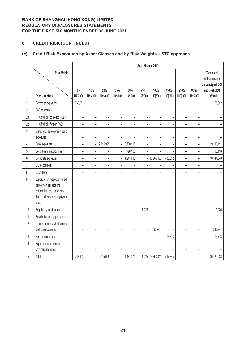# **6 CREDIT RISK (CONTINUED)**

# **(e) Credit Risk Exposures by Asset Classes and by Risk Weights – STC approach**

|                |                                                                                                                                        |                          |                          |                          |                              |                          | As at 30 June 2021       |                          |                          |                          |                                  |                                                                                               |
|----------------|----------------------------------------------------------------------------------------------------------------------------------------|--------------------------|--------------------------|--------------------------|------------------------------|--------------------------|--------------------------|--------------------------|--------------------------|--------------------------|----------------------------------|-----------------------------------------------------------------------------------------------|
|                | <b>Risk Weight</b><br><b>Exposure class</b>                                                                                            | $0\%$<br><b>HK\$'000</b> | 10%<br><b>HK\$'000</b>   | 20%<br>HK\$'000          | 35%<br><b>HK\$'000</b>       | 50%<br><b>HK\$'000</b>   | 75%<br><b>HK\$'000</b>   | 100%<br>HK\$'000         | 150%<br><b>HK\$'000</b>  | 250%<br><b>HK\$'000</b>  | <b>Others</b><br><b>HK\$'000</b> | <b>Total credit</b><br>risk exposures<br>amount (post CCF<br>and post CRM)<br><b>HK\$'000</b> |
| 1              | Sovereign exposures                                                                                                                    | 768,952                  | $\overline{\phantom{0}}$ |                          |                              |                          |                          | $\overline{a}$           |                          |                          |                                  | 768,952                                                                                       |
| $\overline{2}$ | PSE exposures                                                                                                                          | $\overline{\phantom{0}}$ | $\qquad \qquad -$        | $\qquad \qquad -$        | $\overline{\phantom{0}}$     | $\overline{\phantom{a}}$ | $\overline{\phantom{0}}$ | $\overline{a}$           | $\overline{\phantom{0}}$ | $\overline{\phantom{a}}$ | $\overline{\phantom{0}}$         |                                                                                               |
| 2a             | Of which: domestic PSEs                                                                                                                | $\overline{\phantom{a}}$ | $\overline{\phantom{0}}$ | $\overline{\phantom{a}}$ | $\overline{a}$               |                          | $\overline{a}$           | ÷,                       | $\overline{a}$           | ÷                        | $\overline{\phantom{m}}$         |                                                                                               |
| 2 <sub>b</sub> | Of which: foreign PSEs                                                                                                                 | $\overline{\phantom{a}}$ | $\overline{a}$           | $\overline{a}$           | $\overline{a}$               |                          | $\overline{a}$           | $\overline{a}$           | $\overline{a}$           | L.                       |                                  |                                                                                               |
| 3              | Multilateral development bank<br>exposures                                                                                             | $\overline{\phantom{0}}$ | $\overline{\phantom{a}}$ |                          |                              |                          | $\overline{a}$           | ÷,                       | $\overline{a}$           |                          | $\overline{\phantom{a}}$         |                                                                                               |
| 4              | Bank exposures                                                                                                                         | $\overline{a}$           | $\qquad \qquad -$        | 2,515,995                | $\overline{\phantom{0}}$     | 6,700,196                | -                        | $\overline{a}$           | $\overline{\phantom{0}}$ | $\overline{\phantom{0}}$ |                                  | 9,216,191                                                                                     |
| 5              | Securities firm exposures                                                                                                              | $\overline{a}$           | $\overline{\phantom{0}}$ | $\qquad \qquad -$        | $\frac{1}{2}$                | 790,158                  | $\overline{\phantom{0}}$ | $\overline{a}$           | $\overline{a}$           | $\overline{a}$           | $\overline{\phantom{0}}$         | 790,158                                                                                       |
| 6              | Corporate exposures                                                                                                                    | $\overline{a}$           | $\overline{\phantom{0}}$ | $\equiv$                 | $\bar{\phantom{a}}$          | 1,941,016                | $\overline{a}$           | 16,569,900               | 433,632                  | $\overline{a}$           | $\overline{a}$                   | 18,944,548                                                                                    |
| $\overline{7}$ | CIS exposures                                                                                                                          | $\overline{a}$           | $\overline{\phantom{0}}$ | $\qquad \qquad -$        | $\overline{\phantom{0}}$     |                          | $\overline{\phantom{0}}$ | $\overline{\phantom{0}}$ | -                        | $\overline{\phantom{0}}$ |                                  |                                                                                               |
| 8              | Cash items                                                                                                                             | $\overline{\phantom{0}}$ | $\overline{\phantom{0}}$ | $\qquad \qquad -$        | $\overline{\phantom{0}}$     |                          | $\overline{\phantom{0}}$ | -                        | -                        |                          | $\overline{\phantom{0}}$         |                                                                                               |
| $\mathsf g$    | Exposures in respect of failed<br>delivery on transactions<br>entered into on a basis other<br>than a delivery-versus-payment<br>basis | ÷                        | $\overline{\phantom{0}}$ | -                        | $\qquad \qquad \blacksquare$ |                          |                          | -                        | -                        | $\overline{\phantom{0}}$ | $\overline{a}$                   |                                                                                               |
| $10\,$         | Regulatory retail exposures                                                                                                            | $\overline{\phantom{0}}$ | $\overline{a}$           | $\overline{\phantom{0}}$ | $\overline{a}$               |                          | 5,025                    | $\overline{a}$           | $\overline{a}$           |                          |                                  | 5,025                                                                                         |
| 11             | Residential mortgage loans                                                                                                             | $\overline{\phantom{a}}$ | L.                       | $\overline{\phantom{0}}$ | $\overline{a}$               |                          | $\overline{a}$           | ÷,                       | ÷,                       | L.                       |                                  |                                                                                               |
| 12             | Other exposures which are not<br>past due exposures                                                                                    | $\overline{\phantom{a}}$ | $\overline{\phantom{0}}$ | $\overline{\phantom{a}}$ | $\overline{\phantom{0}}$     |                          | $\overline{\phantom{0}}$ | 290,941                  |                          | $\overline{\phantom{0}}$ | $\overline{\phantom{0}}$         | 290,941                                                                                       |
| 13             | Past due exposures                                                                                                                     |                          | -                        | $\overline{\phantom{0}}$ |                              |                          | -                        | $\overline{\phantom{0}}$ | 113,713                  |                          |                                  | 113,713                                                                                       |
| 14             | Significant exposures to<br>commercial entities                                                                                        |                          | ÷                        |                          |                              |                          |                          |                          |                          |                          |                                  |                                                                                               |
| 15             | Total                                                                                                                                  | 768,952                  | $\qquad \qquad -$        | 2,515,995                | $\overline{\phantom{0}}$     | 9,431,370                |                          | 5,025 16,860,841         | 547,345                  |                          | $\overline{\phantom{0}}$         | 30,129,528                                                                                    |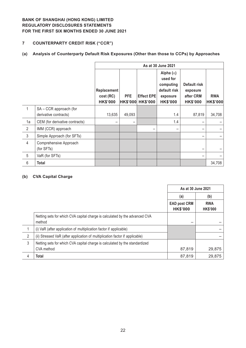# **7 COUNTERPARTY CREDIT RISK ("CCR")**

# **(a) Analysis of Counterparty Default Risk Exposures (Other than those to CCPs) by Approaches**

|                |                                                 | As at 30 June 2021                                 |                               |                                      |                                                                                          |                                                          |                               |  |  |
|----------------|-------------------------------------------------|----------------------------------------------------|-------------------------------|--------------------------------------|------------------------------------------------------------------------------------------|----------------------------------------------------------|-------------------------------|--|--|
|                |                                                 | <b>Replacement</b><br>cost (RC)<br><b>HK\$'000</b> | <b>PFE</b><br><b>HK\$'000</b> | <b>Effect EPE</b><br><b>HK\$'000</b> | Alpha $(\alpha)$<br>used for<br>computing<br>default risk<br>exposure<br><b>HK\$'000</b> | Default risk<br>exposure<br>after CRM<br><b>HK\$'000</b> | <b>RWA</b><br><b>HK\$'000</b> |  |  |
| 1              | SA - CCR approach (for<br>derivative contracts) | 13,635                                             | 49,093                        |                                      | 1.4                                                                                      | 87,819                                                   | 34,708                        |  |  |
| 1a             | CEM (for derivative contracts)                  |                                                    |                               |                                      | 1.4                                                                                      |                                                          |                               |  |  |
| 2              | IMM (CCR) approach                              |                                                    |                               |                                      |                                                                                          |                                                          |                               |  |  |
| $\mathfrak{Z}$ | Simple Approach (for SFTs)                      |                                                    |                               |                                      |                                                                                          |                                                          |                               |  |  |
| $\overline{4}$ | Comprehensive Approach<br>(for SFTs)            |                                                    |                               |                                      |                                                                                          |                                                          |                               |  |  |
| 5              | VaR (for SFTs)                                  |                                                    |                               |                                      |                                                                                          |                                                          |                               |  |  |
| 6              | Total                                           |                                                    |                               |                                      |                                                                                          |                                                          | 34,708                        |  |  |

### **(b) CVA Capital Charge**

|   |                                                                                       | As at 30 June 2021                     |                               |
|---|---------------------------------------------------------------------------------------|----------------------------------------|-------------------------------|
|   |                                                                                       | (a)                                    | (b)                           |
|   |                                                                                       | <b>EAD post CRM</b><br><b>HK\$'000</b> | <b>RWA</b><br><b>HK\$'000</b> |
|   | Netting sets for which CVA capital charge is calculated by the advanced CVA<br>method |                                        |                               |
|   | (i) VaR (after application of multiplication factor if applicable)                    |                                        |                               |
| 2 | (ii) Stressed VaR (after application of multiplication factor if applicable)          |                                        |                               |
| 3 | Netting sets for which CVA capital charge is calculated by the standardized           |                                        |                               |
|   | CVA method                                                                            | 87,819                                 | 29,875                        |
| 4 | <b>Total</b>                                                                          | 87,819                                 | 29,875                        |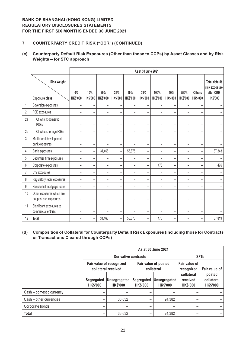### **7 COUNTERPARTY CREDIT RISK ("CCR") (CONTINUED)**

### **(c) Counterparty Default Risk Exposures (Other than those to CCPs) by Asset Classes and by Risk Weights – for STC approach**

|                |                                                     |                          |                          |                          |                          |                        | As at 30 June 2021       |                          |                          |                          |                                  |                                                                       |
|----------------|-----------------------------------------------------|--------------------------|--------------------------|--------------------------|--------------------------|------------------------|--------------------------|--------------------------|--------------------------|--------------------------|----------------------------------|-----------------------------------------------------------------------|
|                | <b>Risk Weight</b><br><b>Exposure class</b>         | $0\%$<br><b>HK\$'000</b> | 10%<br><b>HK\$'000</b>   | 20%<br><b>HK\$'000</b>   | 35%<br><b>HK\$'000</b>   | 50%<br><b>HK\$'000</b> | 75%<br><b>HK\$'000</b>   | 100%<br><b>HK\$'000</b>  | 150%<br><b>HK\$'000</b>  | 250%<br><b>HK\$'000</b>  | <b>Others</b><br><b>HK\$'000</b> | <b>Total default</b><br>risk exposure<br>after CRM<br><b>HK\$'000</b> |
| 1              | Sovereign exposures                                 |                          | $\overline{\phantom{0}}$ |                          | ۰                        |                        |                          |                          |                          |                          |                                  |                                                                       |
| $\overline{2}$ | PSE exposures                                       |                          | $\overline{\phantom{0}}$ | $\equiv$                 | $\equiv$                 |                        | $\sim$                   |                          |                          |                          |                                  |                                                                       |
| 2a             | Of which: domestic<br><b>PSEs</b>                   | -                        | $\overline{\phantom{0}}$ | $\equiv$                 | $\equiv$                 | $\sim$                 | $\equiv$                 | $\overline{\phantom{a}}$ | $\overline{\phantom{a}}$ | $\overline{\phantom{a}}$ | $\overline{\phantom{a}}$         |                                                                       |
| 2 <sub>b</sub> | Of which: foreign PSEs                              |                          | $\overline{\phantom{a}}$ | $\overline{\phantom{0}}$ | $\overline{\phantom{a}}$ |                        | $\overline{\phantom{0}}$ |                          | $\overline{\phantom{m}}$ |                          | $\overline{\phantom{0}}$         |                                                                       |
| $\mathfrak{z}$ | Multilateral development<br>bank exposures          |                          | $\overline{\phantom{0}}$ |                          |                          |                        |                          |                          |                          |                          |                                  |                                                                       |
| 4              | Bank exposures                                      | $\overline{\phantom{0}}$ | $\qquad \qquad -$        | 31,468                   | $\overline{\phantom{0}}$ | 55,875                 | $\overline{\phantom{0}}$ | $\overline{\phantom{a}}$ | $\overline{\phantom{0}}$ | $\overline{\phantom{0}}$ | $\overline{\phantom{0}}$         | 87,343                                                                |
| 5              | Securities firm exposures                           | $\overline{\phantom{0}}$ | $\overline{\phantom{0}}$ | $\overline{\phantom{0}}$ | $\overline{\phantom{0}}$ |                        | $\overline{\phantom{0}}$ |                          | $\overline{\phantom{0}}$ |                          | $\overline{\phantom{0}}$         |                                                                       |
| 6              | Corporate exposures                                 | $\overline{\phantom{0}}$ | $\overline{\phantom{0}}$ | $\overline{\phantom{0}}$ | $\overline{\phantom{0}}$ |                        | $\qquad \qquad -$        | 476                      | $\overline{\phantom{0}}$ | $\overline{\phantom{0}}$ | $\overline{\phantom{0}}$         | 476                                                                   |
| 7              | CIS exposures                                       | -                        | $\overline{\phantom{0}}$ | -                        | ۳                        |                        | ÷                        |                          | $\overline{\phantom{a}}$ | $\equiv$                 | $\overline{\phantom{a}}$         |                                                                       |
| 8              | Regulatory retail exposures                         | $\overline{\phantom{0}}$ | $\qquad \qquad -$        | -                        | $\qquad \qquad -$        |                        | $\overline{\phantom{0}}$ |                          | $\qquad \qquad$          | -                        | $\qquad \qquad$                  |                                                                       |
| $\mathsf g$    | Residential mortgage loans                          | ۳                        | $\overline{\phantom{0}}$ | $\overline{\phantom{0}}$ | $\overline{\phantom{0}}$ |                        | $\overline{\phantom{0}}$ |                          | $\overline{\phantom{a}}$ |                          | $\overline{\phantom{0}}$         |                                                                       |
| 10             | Other exposures which are<br>not past due exposures |                          | -                        |                          | ÷                        |                        |                          |                          |                          |                          |                                  |                                                                       |
| 11             | Significant exposures to<br>commercial entities     |                          | $\overline{\phantom{0}}$ |                          | ۰                        |                        | $\overline{\phantom{a}}$ |                          |                          |                          |                                  |                                                                       |
| 12             | Total                                               | $\overline{\phantom{0}}$ | $\qquad \qquad -$        | 31,468                   | $\overline{\phantom{0}}$ | 55,875                 | $\overline{\phantom{0}}$ | 476                      | $\overline{\phantom{0}}$ | $\overline{\phantom{0}}$ |                                  | 87,819                                                                |

### **(d) Composition of Collateral for Counterparty Default Risk Exposures (including those for Contracts or Transactions Cleared through CCPs)**

|                          |                                      | As at 30 June 2021                              |                               |                                    |                                           |                                         |  |  |  |  |
|--------------------------|--------------------------------------|-------------------------------------------------|-------------------------------|------------------------------------|-------------------------------------------|-----------------------------------------|--|--|--|--|
|                          |                                      | <b>Derivative contracts</b>                     |                               |                                    | <b>SFTs</b>                               |                                         |  |  |  |  |
|                          |                                      | Fair value of recognized<br>collateral received |                               | Fair value of posted<br>collateral | Fair value of<br>recognized               | Fair value of                           |  |  |  |  |
|                          | <b>Segregated</b><br><b>HK\$'000</b> | Unsegregated<br><b>HK\$'000</b>                 | Segregated<br><b>HK\$'000</b> | Unsegregated<br><b>HK\$'000</b>    | collateral<br>received<br><b>HK\$'000</b> | posted<br>collateral<br><b>HK\$'000</b> |  |  |  |  |
| Cash - domestic currency |                                      |                                                 |                               |                                    |                                           |                                         |  |  |  |  |
| Cash - other currencies  |                                      | 36,632                                          |                               | 24,382                             |                                           |                                         |  |  |  |  |
| Corporate bonds          | -                                    |                                                 |                               |                                    |                                           |                                         |  |  |  |  |
| <b>Total</b>             |                                      | 36,632                                          |                               | 24,382                             |                                           |                                         |  |  |  |  |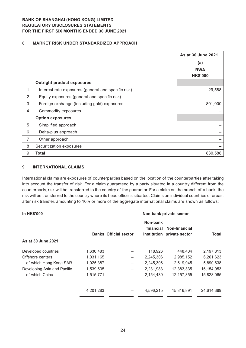### **8 MARKET RISK UNDER STANDARDIZED APPROACH**

|                |                                                     | As at 30 June 2021 |
|----------------|-----------------------------------------------------|--------------------|
|                |                                                     | (a)                |
|                |                                                     | <b>RWA</b>         |
|                |                                                     | <b>HK\$'000</b>    |
|                | <b>Outright product exposures</b>                   |                    |
| 1              | Interest rate exposures (general and specific risk) | 29,588             |
| $\overline{2}$ | Equity exposures (general and specific risk)        |                    |
| 3              | Foreign exchange (including gold) exposures         | 801,000            |
| $\overline{4}$ | Commodity exposures                                 |                    |
|                | <b>Option exposures</b>                             |                    |
| 5              | Simplified approach                                 |                    |
| 6              | Delta-plus approach                                 |                    |
| $\overline{7}$ | Other approach                                      |                    |
| 8              | Securitization exposures                            |                    |
| $9\,$          | <b>Total</b>                                        | 830,588            |

#### **9 INTERNATIONAL CLAIMS**

International claims are exposures of counterparties based on the location of the counterparties after taking into account the transfer of risk. For a claim guaranteed by a party situated in a country different from the counterparty, risk will be transferred to the country of the guarantor. For a claim on the branch of a bank, the risk will be transferred to the country where its head office is situated. Claims on individual countries or areas, after risk transfer, amounting to 10% or more of the aggregate international claims are shown as follows:

| <b>In HK\$'000</b>          |           |                              |                       | Non-bank private sector                     |            |  |
|-----------------------------|-----------|------------------------------|-----------------------|---------------------------------------------|------------|--|
|                             |           | <b>Banks Official sector</b> | Non-bank<br>financial | Non-financial<br>institution private sector | Total      |  |
| As at 30 June 2021:         |           |                              |                       |                                             |            |  |
| Developed countries         | 1,630,483 |                              | 118,926               | 448,404                                     | 2,197,813  |  |
| Offshore centers            | 1,031,165 |                              | 2,245,306             | 2,985,152                                   | 6,261,623  |  |
| of which Hong Kong SAR      | 1,025,387 |                              | 2,245,306             | 2,619,945                                   | 5,890,638  |  |
| Developing Asia and Pacific | 1,539,635 |                              | 2,231,983             | 12,383,335                                  | 16,154,953 |  |
| of which China              | 1,515,771 |                              | 2,154,439             | 12, 157, 855                                | 15,828,065 |  |
|                             | 4,201,283 |                              | 4,596,215             | 15,816,891                                  | 24,614,389 |  |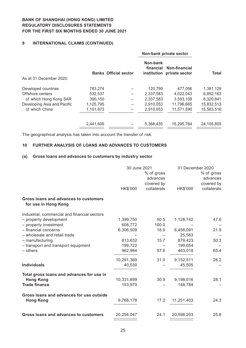### **9 INTERNATIONAL CLAIMS (CONTINUED)**

|                             |           |                              |                       | Non-bank private sector                     | <b>Total</b> |  |
|-----------------------------|-----------|------------------------------|-----------------------|---------------------------------------------|--------------|--|
| As at 31 December 2020:     |           | <b>Banks Official sector</b> | Non-bank<br>financial | Non-financial<br>institution private sector |              |  |
| Developed countries         | 783,274   |                              | 120.799               | 477.056                                     | 1,381,129    |  |
| Offshore centers            | 532,537   |                              | 2,337,583             | 4,022,043                                   | 6,892,163    |  |
| of which Hong Kong SAR      | 390,150   |                              | 2,337,583             | 3,593,108                                   | 6,320,841    |  |
| Developing Asia and Pacific | 1,125,795 |                              | 2,910,053             | 11.796.665                                  | 15,832,513   |  |
| of which China              | 1,101,873 |                              | 2,910,053             | 11,571,590                                  | 15,583,516   |  |
|                             | 2,441,606 |                              | 5,368,435             | 16,295,764                                  | 24,105,805   |  |

The geographical analysis has taken into account the transfer of risk.

### **10 FURTHER ANALYSIS OF LOANS AND ADVANCES TO CUSTOMERS**

#### **(a) Gross loans and advances to customers by industry sector**

|                                                               | 30 June 2021 |             | 31 December 2020 |             |
|---------------------------------------------------------------|--------------|-------------|------------------|-------------|
|                                                               |              | % of gross  |                  | % of gross  |
|                                                               |              | advances    |                  | advances    |
|                                                               |              | covered by  |                  | covered by  |
|                                                               | HK\$'000     | collaterals | HK\$'000         | collaterals |
| Gross loans and advances to customers<br>for use in Hong Kong |              |             |                  |             |
| Industrial, commercial and financial sectors                  |              |             |                  |             |
| - property development                                        | 1,399,750    | 50.5        | 1,128,742        | 47.6        |
| - property investment                                         | 608,772      | 100.0       |                  |             |
| - financial concerns                                          | 6,306,509    | 18.9        | 6,456,091        | 21.9        |
| - wholesale and retail trade                                  |              |             | 25,583           |             |
| - manufacturing                                               | 813,632      | 15.7        | 879,423          | 50.3        |
| - transport and transport equipment                           | 199,722      |             | 199,654          |             |
| - others                                                      | 962,984      | 57.6        | 463,018          | 65.4        |
|                                                               | 10,291,369   | 31.0        | 9,152,511        | 28.2        |
| <b>Individuals</b>                                            | 40,530       |             | 45,505           |             |
| Total gross loans and advances for use in                     |              |             |                  |             |
| <b>Hong Kong</b>                                              | 10,331,899   | 30.9        | 9,198,016        | 28.1        |
| <b>Trade finance</b>                                          | 153,970      |             | 148,784          |             |
| Gross loans and advances for use outside<br><b>Hong Kong</b>  | 9,768,178    | 17.2        | 11,251,403       | 24.3        |
|                                                               |              |             |                  |             |
| Gross loans and advances to customers                         | 20,254,047   | 24.1        | 20,598,203       | 25.8        |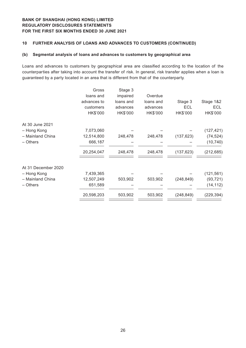### **10 FURTHER ANALYSIS OF LOANS AND ADVANCES TO CUSTOMERS (CONTINUED)**

#### **(b) Segmental analysis of loans and advances to customers by geographical area**

Loans and advances to customers by geographical area are classified according to the location of the counterparties after taking into account the transfer of risk. In general, risk transfer applies when a loan is guaranteed by a party located in an area that is different from that of the counterparty.

|                     | Gross       | Stage 3   |           |            |            |
|---------------------|-------------|-----------|-----------|------------|------------|
|                     | loans and   | impaired  | Overdue   |            |            |
|                     | advances to | loans and | loans and | Stage 3    | Stage 1&2  |
|                     | customers   | advances  | advances  | <b>ECL</b> | <b>ECL</b> |
|                     | HK\$'000    | HK\$'000  | HK\$'000  | HK\$'000   | HK\$'000   |
| At 30 June 2021     |             |           |           |            |            |
| - Hong Kong         | 7,073,060   |           |           |            | (127, 421) |
| - Mainland China    | 12,514,800  | 248,478   | 248,478   | (137, 623) | (74, 524)  |
| - Others            | 666,187     |           |           |            | (10, 740)  |
|                     | 20,254,047  | 248,478   | 248,478   | (137, 623) | (212, 685) |
| At 31 December 2020 |             |           |           |            |            |
| - Hong Kong         | 7,439,365   |           |           |            | (121, 561) |
| - Mainland China    | 12,507,249  | 503,902   | 503,902   | (248, 849) | (93, 721)  |
| - Others            | 651,589     |           |           |            | (14, 112)  |
|                     | 20,598,203  | 503,902   | 503,902   | (248, 849) | (229, 394) |
|                     |             |           |           |            |            |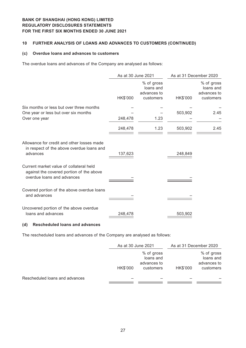### **10 FURTHER ANALYSIS OF LOANS AND ADVANCES TO CUSTOMERS (CONTINUED)**

#### **(c) Overdue loans and advances to customers**

The overdue loans and advances of the Company are analysed as follows:

|                                                                                                                   | As at 30 June 2021 |                                                     | As at 31 December 2020 |                                                     |
|-------------------------------------------------------------------------------------------------------------------|--------------------|-----------------------------------------------------|------------------------|-----------------------------------------------------|
|                                                                                                                   | HK\$'000           | % of gross<br>loans and<br>advances to<br>customers | HK\$'000               | % of gross<br>loans and<br>advances to<br>customers |
| Six months or less but over three months                                                                          |                    |                                                     |                        |                                                     |
| One year or less but over six months                                                                              |                    |                                                     | 503,902                | 2.45                                                |
| Over one year                                                                                                     | 248,478            | 1.23                                                |                        |                                                     |
|                                                                                                                   | 248,478            | 1.23                                                | 503,902                | 2.45                                                |
| Allowance for credit and other losses made<br>in respect of the above overdue loans and<br>advances               | 137,623            |                                                     | 248,849                |                                                     |
| Current market value of collateral held<br>against the covered portion of the above<br>overdue loans and advances |                    |                                                     |                        |                                                     |
| Covered portion of the above overdue loans<br>and advances                                                        |                    |                                                     |                        |                                                     |
| Uncovered portion of the above overdue<br>loans and advances                                                      | 248,478            |                                                     | 503,902                |                                                     |

### **(d) Rescheduled loans and advances**

The rescheduled loans and advances of the Company are analysed as follows:

|                                | As at 30 June 2021 |                                                     | As at 31 December 2020 |                                                     |
|--------------------------------|--------------------|-----------------------------------------------------|------------------------|-----------------------------------------------------|
|                                | HK\$'000           | % of gross<br>loans and<br>advances to<br>customers | HK\$'000               | % of gross<br>loans and<br>advances to<br>customers |
| Rescheduled loans and advances |                    |                                                     |                        |                                                     |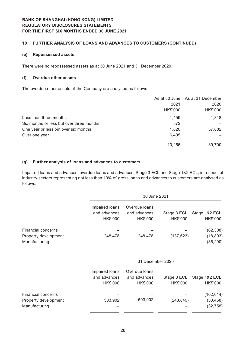### **10 FURTHER ANALYSIS OF LOANS AND ADVANCES TO CUSTOMERS (CONTINUED)**

#### **(e) Repossessed assets**

There were no repossessed assets as at 30 June 2021 and 31 December 2020.

#### **(f) Overdue other assets**

The overdue other assets of the Company are analysed as follows:

|                                          |          | As at 30 June As at 31 December |
|------------------------------------------|----------|---------------------------------|
|                                          | 2021     | 2020                            |
|                                          | HK\$'000 | HK\$'000                        |
| Less than three months                   | 1.459    | 1,818                           |
| Six months or less but over three months | 572      |                                 |
| One year or less but over six months     | 1,820    | 37,882                          |
| Over one year                            | 6,405    |                                 |
|                                          | 10,256   | 39,700                          |

#### **(g) Further analysis of loans and advances to customers**

Impaired loans and advances, overdue loans and advances, Stage 3 ECL and Stage 1&2 ECL, in respect of industry sectors representing not less than 10% of gross loans and advances to customers are analysed as follows:

|                                                             |                                            | 30 June 2021                              |                         |                                      |  |
|-------------------------------------------------------------|--------------------------------------------|-------------------------------------------|-------------------------|--------------------------------------|--|
|                                                             | Impaired loans<br>and advances<br>HK\$'000 | Overdue loans<br>and advances<br>HK\$'000 | Stage 3 ECL<br>HK\$'000 | Stage 1&2 ECL<br>HK\$'000            |  |
| Financial concerns                                          |                                            |                                           |                         | (62, 308)                            |  |
| Property development<br>Manufacturing                       | 248,478                                    | 248,478                                   | (137, 623)              | (18, 893)<br>(36, 290)               |  |
|                                                             |                                            | 31 December 2020                          |                         |                                      |  |
|                                                             | Impaired loans<br>and advances<br>HK\$'000 | Overdue loans<br>and advances<br>HK\$'000 | Stage 3 ECL<br>HK\$'000 | Stage 1&2 ECL<br>HK\$'000            |  |
| Financial concerns<br>Property development<br>Manufacturing | 503,902                                    | 503,902                                   | (248, 849)              | (102, 614)<br>(30, 458)<br>(32, 758) |  |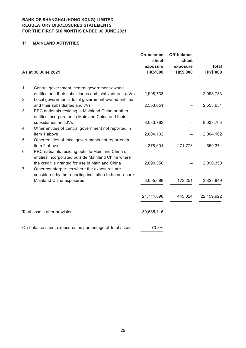#### **11 MAINLAND ACTIVITIES**

|    |                                                                                    | <b>On-balance</b><br>sheet | <b>Off-balance</b><br>sheet |                 |
|----|------------------------------------------------------------------------------------|----------------------------|-----------------------------|-----------------|
|    |                                                                                    | exposure                   | exposure                    | <b>Total</b>    |
|    | As at 30 June 2021                                                                 | <b>HK\$'000</b>            | <b>HK\$'000</b>             | <b>HK\$'000</b> |
|    |                                                                                    |                            |                             |                 |
| 1. | Central government, central government-owned                                       |                            |                             |                 |
|    | entities and their subsidiaries and joint ventures (JVs)                           | 2,998,733                  |                             | 2,998,733       |
| 2. | Local governments, local government-owned entities                                 |                            |                             |                 |
|    | and their subsidiaries and JVs                                                     | 2,553,651                  |                             | 2,553,651       |
| 3. | PRC nationals residing in Mainland China or other                                  |                            |                             |                 |
|    | entities incorporated in Mainland China and their                                  |                            |                             |                 |
|    | subsidiaries and JVs                                                               | 8,033,763                  |                             | 8,033,763       |
| 4. | Other entities of central government not reported in                               |                            |                             |                 |
|    | item 1 above                                                                       | 2,004,102                  |                             | 2,004,102       |
| 5. | Other entities of local governments not reported in                                |                            |                             |                 |
|    | item 2 above                                                                       | 378,601                    | 271,773                     | 650,374         |
| 6. | PRC nationals residing outside Mainland China or                                   |                            |                             |                 |
|    | entities incorporated outside Mainland China where                                 |                            |                             |                 |
|    | the credit is granted for use in Mainland China                                    | 2,090,350                  |                             | 2,090,350       |
| 7. | Other counterparties where the exposures are                                       |                            |                             |                 |
|    | considered by the reporting institution to be non-bank<br>Mainland China exposures | 3,655,698                  | 173,251                     | 3,828,949       |
|    |                                                                                    |                            |                             |                 |
|    |                                                                                    |                            |                             |                 |
|    |                                                                                    | 21,714,898                 | 445,024                     | 22, 159, 922    |
|    |                                                                                    |                            |                             |                 |
|    | Total assets after provision                                                       | 30,685,116                 |                             |                 |
|    |                                                                                    |                            |                             |                 |
|    |                                                                                    |                            |                             |                 |
|    | On-balance sheet exposures as percentage of total assets                           | 70.8%                      |                             |                 |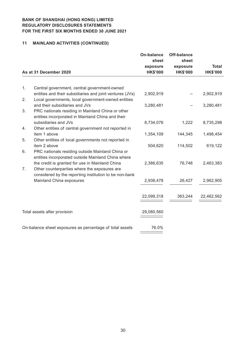# **11 MAINLAND ACTIVITIES (CONTINUED)**

|    |                                                                                                                | <b>On-balance</b><br>sheet | <b>Off-balance</b><br>sheet |                 |
|----|----------------------------------------------------------------------------------------------------------------|----------------------------|-----------------------------|-----------------|
|    |                                                                                                                | exposure                   | exposure                    | <b>Total</b>    |
|    | As at 31 December 2020                                                                                         | <b>HK\$'000</b>            | <b>HK\$'000</b>             | <b>HK\$'000</b> |
|    |                                                                                                                |                            |                             |                 |
| 1. | Central government, central government-owned                                                                   |                            |                             |                 |
| 2. | entities and their subsidiaries and joint ventures (JVs)<br>Local governments, local government-owned entities | 2,902,919                  |                             | 2,902,919       |
|    | and their subsidiaries and JVs                                                                                 | 3,280,481                  |                             | 3,280,481       |
| 3. | PRC nationals residing in Mainland China or other                                                              |                            |                             |                 |
|    | entities incorporated in Mainland China and their<br>subsidiaries and JVs                                      | 8,734,076                  | 1,222                       | 8,735,298       |
| 4. | Other entities of central government not reported in                                                           |                            |                             |                 |
|    | item 1 above                                                                                                   | 1,354,109                  | 144,345                     | 1,498,454       |
| 5. | Other entities of local governments not reported in                                                            |                            |                             |                 |
| 6. | item 2 above<br>PRC nationals residing outside Mainland China or                                               | 504,620                    | 114,502                     | 619,122         |
|    | entities incorporated outside Mainland China where                                                             |                            |                             |                 |
|    | the credit is granted for use in Mainland China                                                                | 2,386,635                  | 76,748                      | 2,463,383       |
| 7. | Other counterparties where the exposures are<br>considered by the reporting institution to be non-bank         |                            |                             |                 |
|    | Mainland China exposures                                                                                       | 2,936,478                  | 26,427                      | 2,962,905       |
|    |                                                                                                                |                            |                             |                 |
|    |                                                                                                                | 22,099,318                 | 363,244                     | 22,462,562      |
|    |                                                                                                                |                            |                             |                 |
|    | Total assets after provision                                                                                   | 29,080,560                 |                             |                 |
|    |                                                                                                                |                            |                             |                 |
|    | On-balance sheet exposures as percentage of total assets                                                       | 76.0%                      |                             |                 |
|    |                                                                                                                |                            |                             |                 |